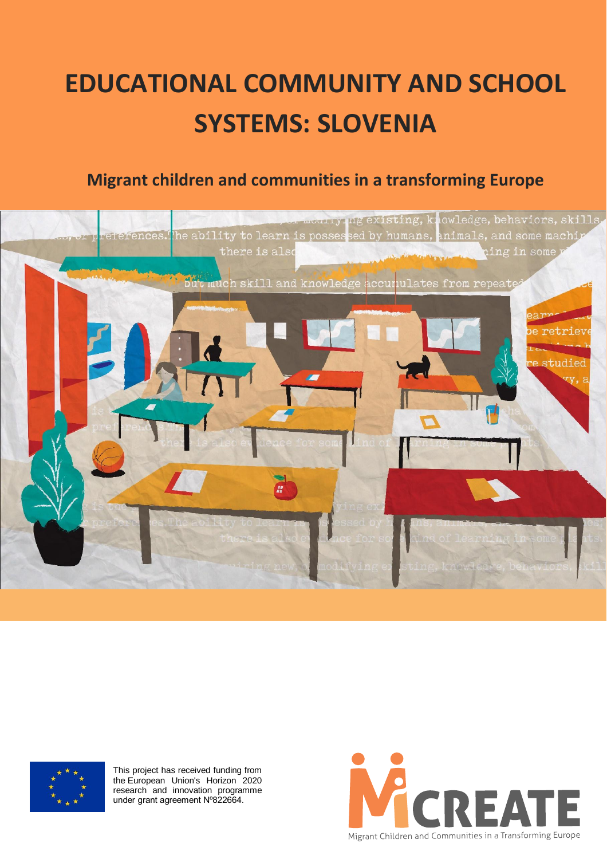# **EDUCATIONAL COMMUNITY AND SCHOOL SYSTEMS: SLOVENIA**

# **Migrant children and communities in a transforming Europe**





This project has received funding from the European Union's Horizon 2020 research and innovation programme under grant agreement Nº822664.

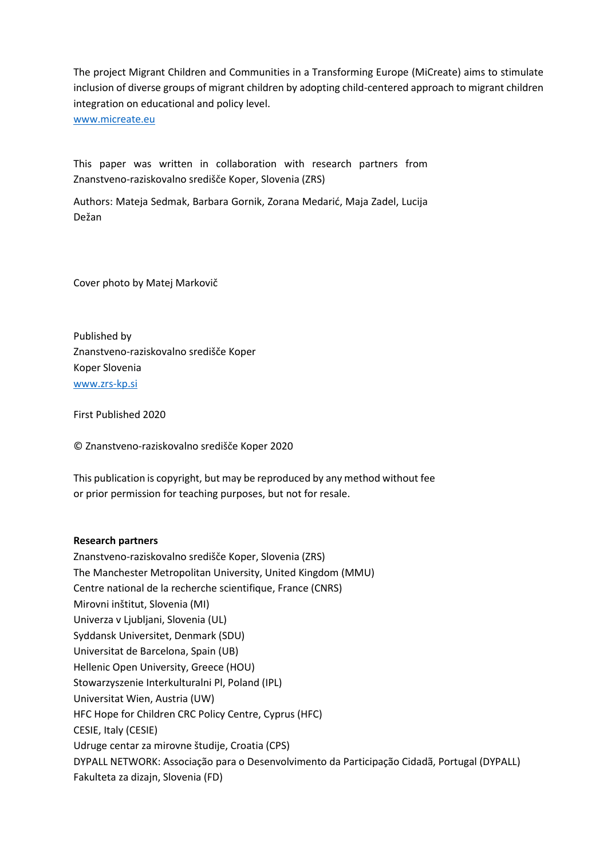The project Migrant Children and Communities in a Transforming Europe (MiCreate) aims to stimulate inclusion of diverse groups of migrant children by adopting child-centered approach to migrant children integration on educational and policy level. [www.micreate.eu](http://www.micreate.eu/)

This paper was written in collaboration with research partners from

Znanstveno-raziskovalno središče Koper, Slovenia (ZRS)

Authors: Mateja Sedmak, Barbara Gornik, Zorana Medarić, Maja Zadel, Lucija Dežan

Cover photo by Matej Markovič

Published by Znanstveno-raziskovalno središče Koper Koper Slovenia [www.zrs-kp.si](http://www.zrs-kp.si/)

First Published 2020

© Znanstveno-raziskovalno središče Koper 2020

This publication is copyright, but may be reproduced by any method without fee or prior permission for teaching purposes, but not for resale.

#### **Research partners**

Znanstveno-raziskovalno središče Koper, Slovenia (ZRS) The Manchester Metropolitan University, United Kingdom (MMU) Centre national de la recherche scientifique, France (CNRS) Mirovni inštitut, Slovenia (MI) Univerza v Ljubljani, Slovenia (UL) Syddansk Universitet, Denmark (SDU) Universitat de Barcelona, Spain (UB) Hellenic Open University, Greece (HOU) Stowarzyszenie Interkulturalni Pl, Poland (IPL) Universitat Wien, Austria (UW) HFC Hope for Children CRC Policy Centre, Cyprus (HFC) CESIE, Italy (CESIE) Udruge centar za mirovne študije, Croatia (CPS) DYPALL NETWORK: Associação para o Desenvolvimento da Participação Cidadã, Portugal (DYPALL) Fakulteta za dizajn, Slovenia (FD)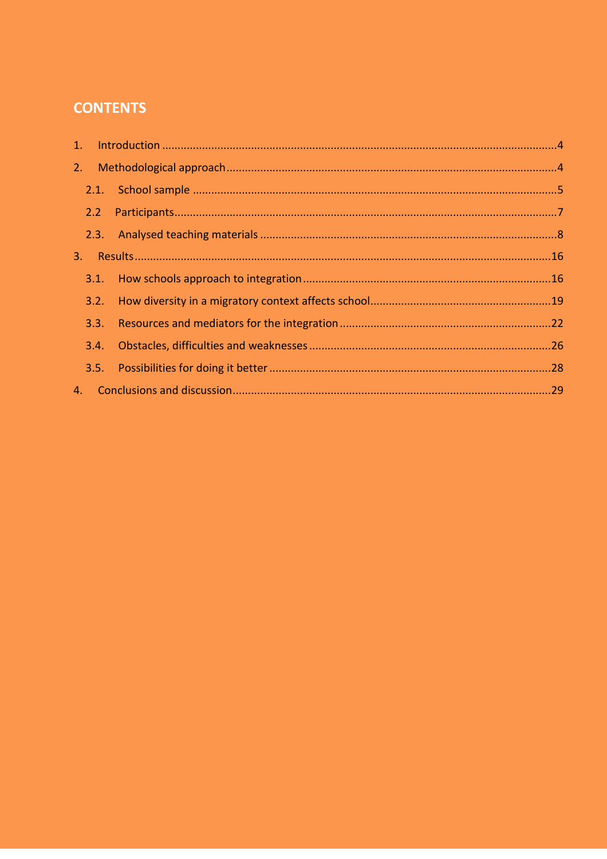# **CONTENTS**

| 2. |      |  |
|----|------|--|
|    |      |  |
|    | 2.2  |  |
|    |      |  |
| 3. |      |  |
|    | 3.1. |  |
|    | 3.2. |  |
|    | 3.3. |  |
|    | 3.4. |  |
|    |      |  |
| 4. |      |  |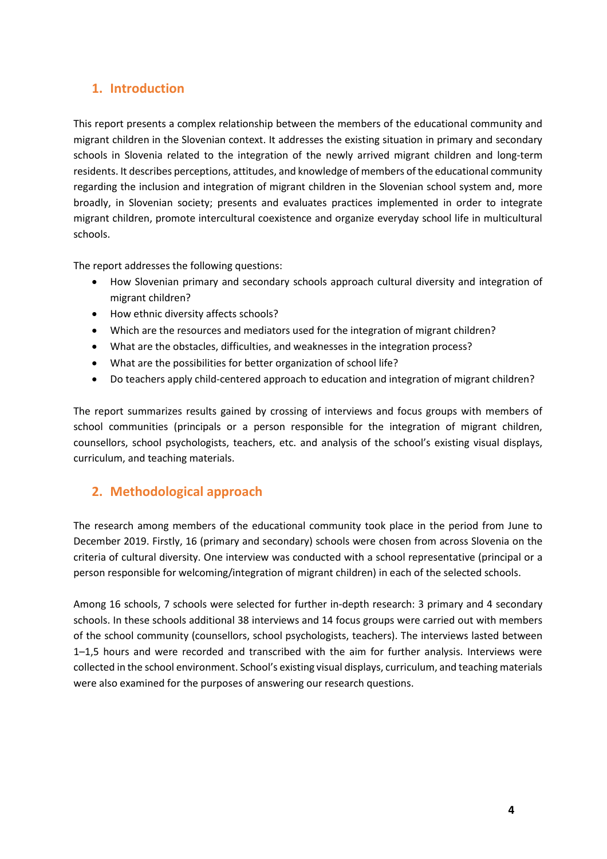# <span id="page-3-0"></span>**1. Introduction**

This report presents a complex relationship between the members of the educational community and migrant children in the Slovenian context. It addresses the existing situation in primary and secondary schools in Slovenia related to the integration of the newly arrived migrant children and long-term residents. It describes perceptions, attitudes, and knowledge of members of the educational community regarding the inclusion and integration of migrant children in the Slovenian school system and, more broadly, in Slovenian society; presents and evaluates practices implemented in order to integrate migrant children, promote intercultural coexistence and organize everyday school life in multicultural schools.

The report addresses the following questions:

- How Slovenian primary and secondary schools approach cultural diversity and integration of migrant children?
- How ethnic diversity affects schools?
- Which are the resources and mediators used for the integration of migrant children?
- What are the obstacles, difficulties, and weaknesses in the integration process?
- What are the possibilities for better organization of school life?
- Do teachers apply child-centered approach to education and integration of migrant children?

The report summarizes results gained by crossing of interviews and focus groups with members of school communities (principals or a person responsible for the integration of migrant children, counsellors, school psychologists, teachers, etc. and analysis of the school's existing visual displays, curriculum, and teaching materials.

## <span id="page-3-1"></span>**2. Methodological approach**

The research among members of the educational community took place in the period from June to December 2019. Firstly, 16 (primary and secondary) schools were chosen from across Slovenia on the criteria of cultural diversity. One interview was conducted with a school representative (principal or a person responsible for welcoming/integration of migrant children) in each of the selected schools.

Among 16 schools, 7 schools were selected for further in-depth research: 3 primary and 4 secondary schools. In these schools additional 38 interviews and 14 focus groups were carried out with members of the school community (counsellors, school psychologists, teachers). The interviews lasted between 1–1,5 hours and were recorded and transcribed with the aim for further analysis. Interviews were collected in the school environment. School's existing visual displays, curriculum, and teaching materials were also examined for the purposes of answering our research questions.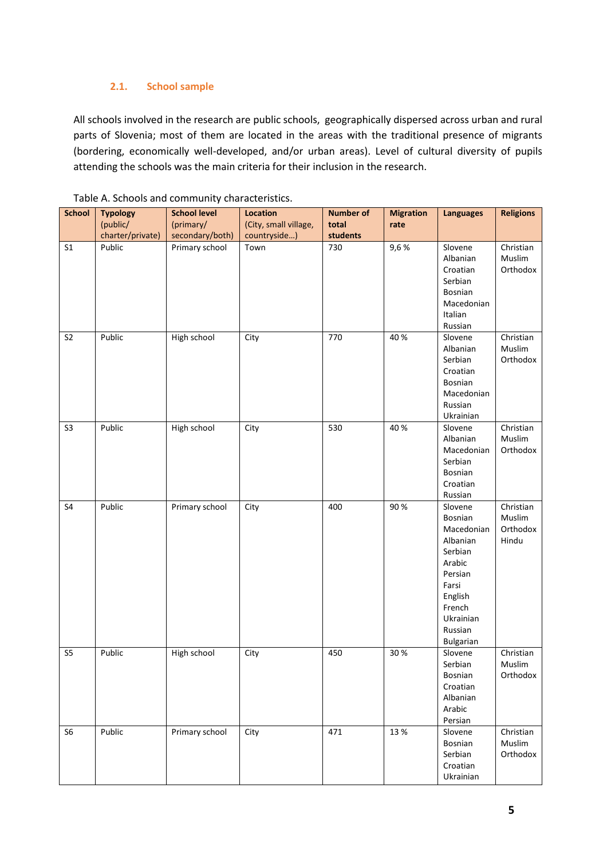#### **2.1. School sample**

<span id="page-4-0"></span>All schools involved in the research are public schools, geographically dispersed across urban and rural parts of Slovenia; most of them are located in the areas with the traditional presence of migrants (bordering, economically well-developed, and/or urban areas). Level of cultural diversity of pupils attending the schools was the main criteria for their inclusion in the research.

| <b>School</b>  | <b>Typology</b>  | <b>School level</b> | <b>Location</b>       | <b>Number of</b> | <b>Migration</b> | <b>Languages</b>                                                                                                                                | <b>Religions</b>                         |
|----------------|------------------|---------------------|-----------------------|------------------|------------------|-------------------------------------------------------------------------------------------------------------------------------------------------|------------------------------------------|
|                | (public/         | (primary/           | (City, small village, | total            | rate             |                                                                                                                                                 |                                          |
|                | charter/private) | secondary/both)     | countryside)          | students         |                  |                                                                                                                                                 |                                          |
| S <sub>1</sub> | Public           | Primary school      | Town                  | 730              | 9,6%             | Slovene<br>Albanian<br>Croatian<br>Serbian<br>Bosnian<br>Macedonian<br>Italian<br>Russian                                                       | Christian<br>Muslim<br>Orthodox          |
| S <sub>2</sub> | Public           | High school         | City                  | 770              | 40 %             | Slovene<br>Albanian<br>Serbian<br>Croatian<br>Bosnian<br>Macedonian<br>Russian<br>Ukrainian                                                     | Christian<br>Muslim<br>Orthodox          |
| S <sub>3</sub> | Public           | High school         | City                  | 530              | 40 %             | Slovene<br>Albanian<br>Macedonian<br>Serbian<br>Bosnian<br>Croatian<br>Russian                                                                  | Christian<br>Muslim<br>Orthodox          |
| S <sub>4</sub> | Public           | Primary school      | City                  | 400              | 90%              | Slovene<br>Bosnian<br>Macedonian<br>Albanian<br>Serbian<br>Arabic<br>Persian<br>Farsi<br>English<br>French<br>Ukrainian<br>Russian<br>Bulgarian | Christian<br>Muslim<br>Orthodox<br>Hindu |
| S <sub>5</sub> | Public           | High school         | City                  | 450              | 30 %             | Slovene<br>Serbian<br>Bosnian<br>Croatian<br>Albanian<br>Arabic<br>Persian                                                                      | Christian<br>Muslim<br>Orthodox          |
| S <sub>6</sub> | Public           | Primary school      | City                  | 471              | 13 %             | Slovene<br>Bosnian<br>Serbian<br>Croatian<br>Ukrainian                                                                                          | Christian<br>Muslim<br>Orthodox          |

#### Table A. Schools and community characteristics.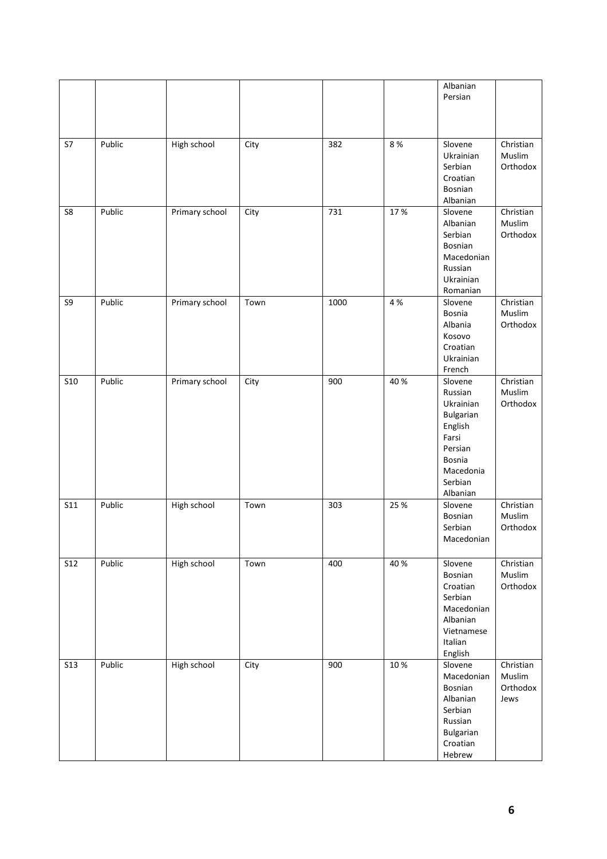|                |        |                |      |      |      | Albanian<br>Persian                                                                                                       |                                         |
|----------------|--------|----------------|------|------|------|---------------------------------------------------------------------------------------------------------------------------|-----------------------------------------|
| S7             | Public | High school    | City | 382  | 8%   | Slovene<br>Ukrainian<br>Serbian<br>Croatian<br>Bosnian<br>Albanian                                                        | Christian<br>Muslim<br>Orthodox         |
| S <sub>8</sub> | Public | Primary school | City | 731  | 17%  | Slovene<br>Albanian<br>Serbian<br>Bosnian<br>Macedonian<br>Russian<br>Ukrainian<br>Romanian                               | Christian<br>Muslim<br>Orthodox         |
| S9             | Public | Primary school | Town | 1000 | 4 %  | Slovene<br><b>Bosnia</b><br>Albania<br>Kosovo<br>Croatian<br>Ukrainian<br>French                                          | Christian<br>Muslim<br>Orthodox         |
| <b>S10</b>     | Public | Primary school | City | 900  | 40 % | Slovene<br>Russian<br>Ukrainian<br>Bulgarian<br>English<br>Farsi<br>Persian<br>Bosnia<br>Macedonia<br>Serbian<br>Albanian | Christian<br>Muslim<br>Orthodox         |
| <b>S11</b>     | Public | High school    | Town | 303  | 25 % | Slovene<br>Bosnian<br>Serbian<br>Macedonian                                                                               | Christian<br>Muslim<br>Orthodox         |
| <b>S12</b>     | Public | High school    | Town | 400  | 40 % | Slovene<br>Bosnian<br>Croatian<br>Serbian<br>Macedonian<br>Albanian<br>Vietnamese<br>Italian<br>English                   | Christian<br>Muslim<br>Orthodox         |
| <b>S13</b>     | Public | High school    | City | 900  | 10 % | Slovene<br>Macedonian<br>Bosnian<br>Albanian<br>Serbian<br>Russian<br>Bulgarian<br>Croatian<br>Hebrew                     | Christian<br>Muslim<br>Orthodox<br>Jews |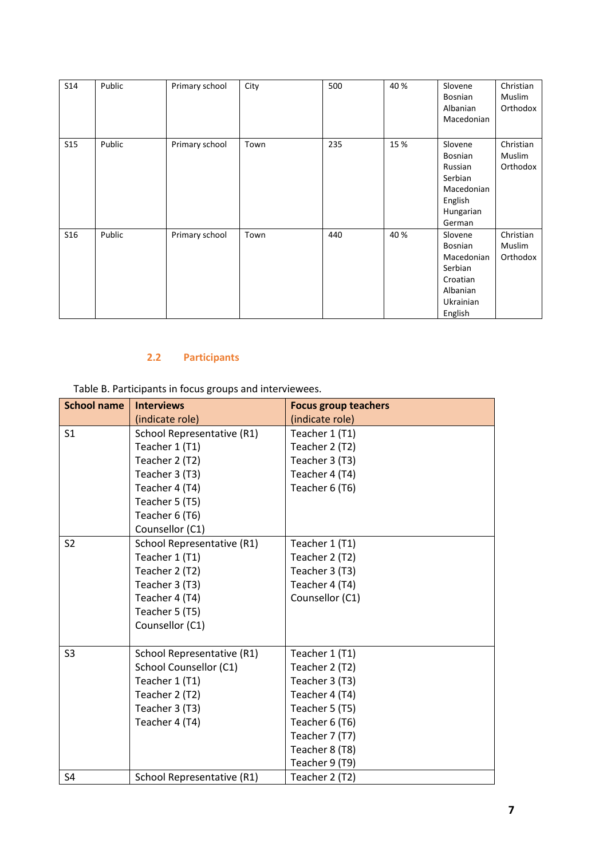| S14 | Public | Primary school | City | 500 | 40 % | Slovene<br>Bosnian<br>Albanian<br>Macedonian                                                | Christian<br><b>Muslim</b><br>Orthodox |
|-----|--------|----------------|------|-----|------|---------------------------------------------------------------------------------------------|----------------------------------------|
| S15 | Public | Primary school | Town | 235 | 15 % | Slovene<br>Bosnian<br>Russian<br>Serbian<br>Macedonian<br>English<br>Hungarian<br>German    | Christian<br><b>Muslim</b><br>Orthodox |
| S16 | Public | Primary school | Town | 440 | 40 % | Slovene<br>Bosnian<br>Macedonian<br>Serbian<br>Croatian<br>Albanian<br>Ukrainian<br>English | Christian<br>Muslim<br>Orthodox        |

## **2.2 Participants**

<span id="page-6-0"></span>Table B. Participants in focus groups and interviewees.

| <b>School name</b> | <b>Interviews</b>                 | <b>Focus group teachers</b> |
|--------------------|-----------------------------------|-----------------------------|
|                    | (indicate role)                   | (indicate role)             |
| S <sub>1</sub>     | School Representative (R1)        | Teacher 1 (T1)              |
|                    | Teacher 1 (T1)                    | Teacher 2 (T2)              |
|                    | Teacher 2 (T2)                    | Teacher 3 (T3)              |
|                    | Teacher 3 (T3)                    | Teacher 4 (T4)              |
|                    | Teacher 4 (T4)                    | Teacher 6 (T6)              |
|                    | Teacher 5 (T5)                    |                             |
|                    | Teacher 6 (T6)                    |                             |
|                    | Counsellor (C1)                   |                             |
| S <sub>2</sub>     | <b>School Representative (R1)</b> | Teacher 1 (T1)              |
|                    | Teacher 1 (T1)                    | Teacher 2 (T2)              |
|                    | Teacher 2 (T2)                    | Teacher 3 (T3)              |
|                    | Teacher 3 (T3)                    | Teacher 4 (T4)              |
|                    | Teacher 4 (T4)                    | Counsellor (C1)             |
|                    | Teacher 5 (T5)                    |                             |
|                    | Counsellor (C1)                   |                             |
|                    |                                   |                             |
| S <sub>3</sub>     | School Representative (R1)        | Teacher 1 (T1)              |
|                    | School Counsellor (C1)            | Teacher 2 (T2)              |
|                    | Teacher 1 (T1)                    | Teacher 3 (T3)              |
|                    | Teacher 2 (T2)                    | Teacher 4 (T4)              |
|                    | Teacher 3 (T3)                    | Teacher 5 (T5)              |
|                    | Teacher 4 (T4)                    | Teacher 6 (T6)              |
|                    |                                   | Teacher 7 (T7)              |
|                    |                                   | Teacher 8 (T8)              |
|                    |                                   | Teacher 9 (T9)              |
| S <sub>4</sub>     | School Representative (R1)        | Teacher 2 (T2)              |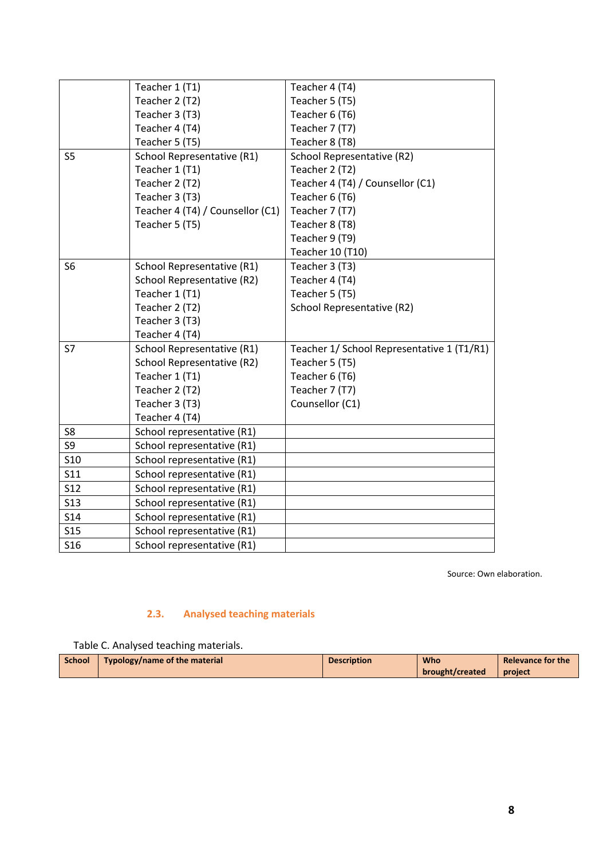|                | Teacher 1 (T1)                   | Teacher 4 (T4)                             |
|----------------|----------------------------------|--------------------------------------------|
|                | Teacher 2 (T2)                   | Teacher 5 (T5)                             |
|                | Teacher 3 (T3)                   | Teacher 6 (T6)                             |
|                | Teacher 4 (T4)                   | Teacher 7 (T7)                             |
|                | Teacher 5 (T5)                   | Teacher 8 (T8)                             |
| S <sub>5</sub> | School Representative (R1)       | School Representative (R2)                 |
|                | Teacher 1 (T1)                   | Teacher 2 (T2)                             |
|                | Teacher 2 (T2)                   | Teacher 4 (T4) / Counsellor (C1)           |
|                | Teacher 3 (T3)                   | Teacher 6 (T6)                             |
|                | Teacher 4 (T4) / Counsellor (C1) | Teacher 7 (T7)                             |
|                | Teacher 5 (T5)                   | Teacher 8 (T8)                             |
|                |                                  | Teacher 9 (T9)                             |
|                |                                  | Teacher 10 (T10)                           |
| S <sub>6</sub> | School Representative (R1)       | Teacher 3 (T3)                             |
|                | School Representative (R2)       | Teacher 4 (T4)                             |
|                | Teacher 1 (T1)                   | Teacher 5 (T5)                             |
|                | Teacher 2 (T2)                   | School Representative (R2)                 |
|                | Teacher 3 (T3)                   |                                            |
|                | Teacher 4 (T4)                   |                                            |
| <b>S7</b>      | School Representative (R1)       | Teacher 1/ School Representative 1 (T1/R1) |
|                | School Representative (R2)       | Teacher 5 (T5)                             |
|                | Teacher 1 (T1)                   | Teacher 6 (T6)                             |
|                | Teacher 2 (T2)                   | Teacher 7 (T7)                             |
|                | Teacher 3 (T3)                   | Counsellor (C1)                            |
|                | Teacher 4 (T4)                   |                                            |
| S8             | School representative (R1)       |                                            |
| S9             | School representative (R1)       |                                            |
| <b>S10</b>     | School representative (R1)       |                                            |
| S11            | School representative (R1)       |                                            |
| S12            | School representative (R1)       |                                            |
| <b>S13</b>     | School representative (R1)       |                                            |
| S14            | School representative (R1)       |                                            |
| <b>S15</b>     | School representative (R1)       |                                            |
| <b>S16</b>     | School representative (R1)       |                                            |
|                |                                  |                                            |

Source: Own elaboration.

#### **2.3. Analysed teaching materials**

<span id="page-7-0"></span>Table C. Analysed teaching materials.

| <b>School</b>                 | <b>Description</b> | <b>Who</b>      | Relevance for the |
|-------------------------------|--------------------|-----------------|-------------------|
| Typology/name of the material |                    | brought/created | project           |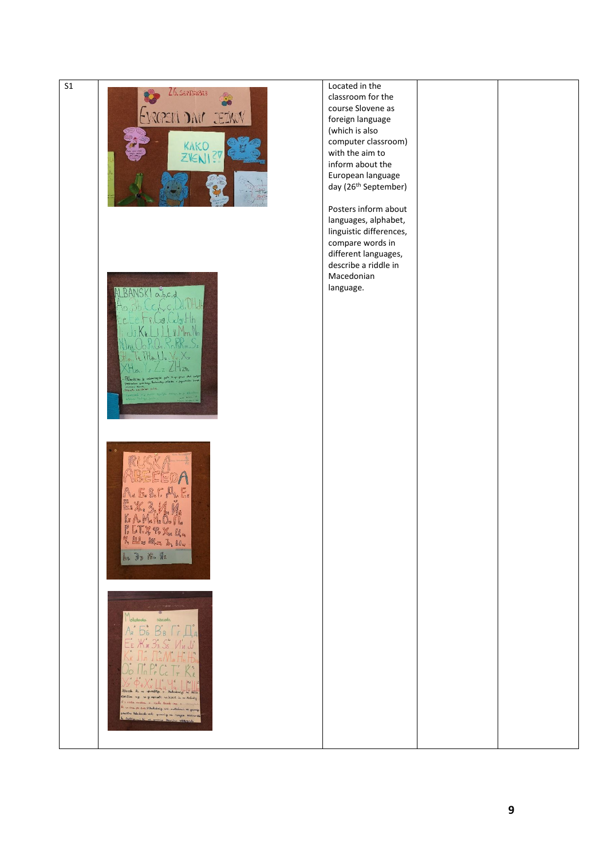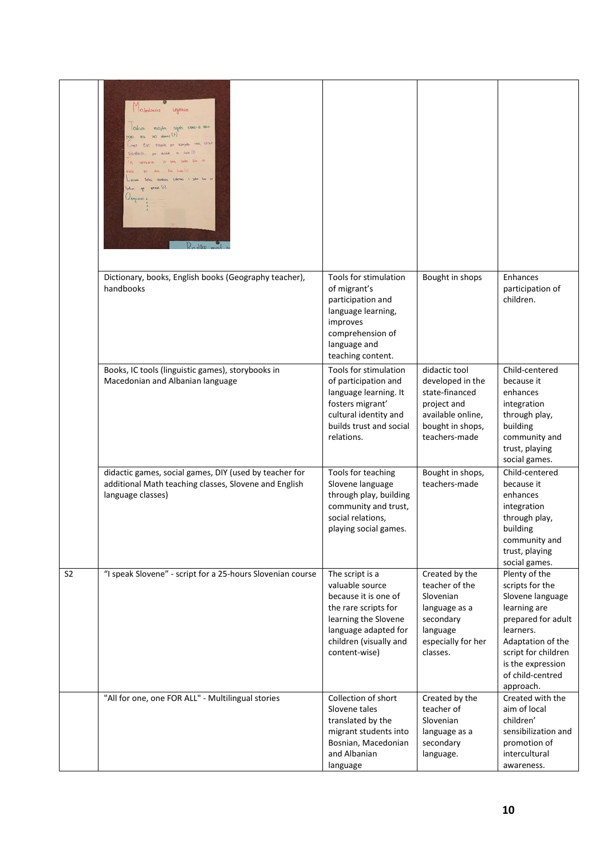|                | Orkestowne<br>Ugonia<br>Okvo majka ngdo nova- si deca<br>RR. 363 deed (?)<br>vent the point on socials. Into clear<br>Me 35<br>due dos hebrital<br><b>Cott</b><br>tradices tidence I yold be to<br>present (2)<br>Janpiort |                                                                                                                                                                               |                                                                                                                              |                                                                                                                                                                                                           |
|----------------|----------------------------------------------------------------------------------------------------------------------------------------------------------------------------------------------------------------------------|-------------------------------------------------------------------------------------------------------------------------------------------------------------------------------|------------------------------------------------------------------------------------------------------------------------------|-----------------------------------------------------------------------------------------------------------------------------------------------------------------------------------------------------------|
|                | Dictionary, books, English books (Geography teacher),<br>handbooks                                                                                                                                                         | Tools for stimulation<br>of migrant's<br>participation and<br>language learning,<br>improves<br>comprehension of<br>language and<br>teaching content.                         | Bought in shops                                                                                                              | Enhances<br>participation of<br>children.                                                                                                                                                                 |
|                | Books, IC tools (linguistic games), storybooks in<br>Macedonian and Albanian language                                                                                                                                      | Tools for stimulation<br>of participation and<br>language learning. It<br>fosters migrant'<br>cultural identity and<br>builds trust and social<br>relations.                  | didactic tool<br>developed in the<br>state-financed<br>project and<br>available online,<br>bought in shops,<br>teachers-made | Child-centered<br>because it<br>enhances<br>integration<br>through play,<br>building<br>community and<br>trust, playing<br>social games.                                                                  |
|                | didactic games, social games, DIY (used by teacher for<br>additional Math teaching classes, Slovene and English<br>language classes)                                                                                       | Tools for teaching<br>Slovene language<br>through play, building<br>community and trust,<br>social relations,<br>playing social games.                                        | Bought in shops,<br>teachers-made                                                                                            | Child-centered<br>because it<br>enhances<br>integration<br>through play,<br>building<br>community and<br>trust, playing<br>social games.                                                                  |
| S <sub>2</sub> | "I speak Slovene" - script for a 25-hours Slovenian course                                                                                                                                                                 | The script is a<br>valuable source<br>because it is one of<br>the rare scripts for<br>learning the Slovene<br>language adapted for<br>children (visually and<br>content-wise) | Created by the<br>teacher of the<br>Slovenian<br>language as a<br>secondary<br>language<br>especially for her<br>classes.    | Plenty of the<br>scripts for the<br>Slovene language<br>learning are<br>prepared for adult<br>learners.<br>Adaptation of the<br>script for children<br>is the expression<br>of child-centred<br>approach. |
|                | "All for one, one FOR ALL" - Multilingual stories                                                                                                                                                                          | Collection of short<br>Slovene tales<br>translated by the<br>migrant students into<br>Bosnian, Macedonian<br>and Albanian<br>language                                         | Created by the<br>teacher of<br>Slovenian<br>language as a<br>secondary<br>language.                                         | Created with the<br>aim of local<br>children'<br>sensibilization and<br>promotion of<br>intercultural<br>awareness.                                                                                       |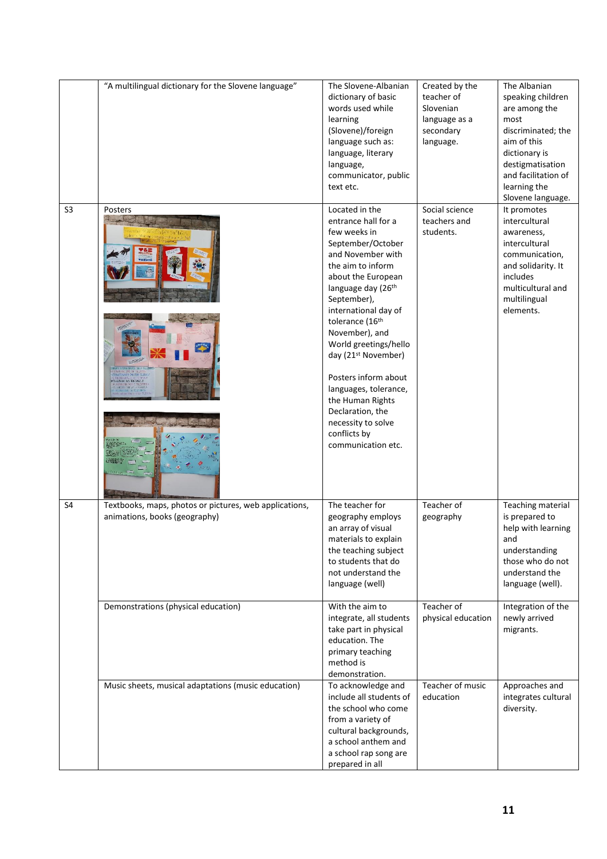|                | "A multilingual dictionary for the Slovene language"                                    | The Slovene-Albanian<br>dictionary of basic<br>words used while<br>learning<br>(Slovene)/foreign<br>language such as:<br>language, literary<br>language,<br>communicator, public<br>text etc.                                                                                                                                                                                                                                                                 | Created by the<br>teacher of<br>Slovenian<br>language as a<br>secondary<br>language. | The Albanian<br>speaking children<br>are among the<br>most<br>discriminated; the<br>aim of this<br>dictionary is<br>destigmatisation<br>and facilitation of<br>learning the<br>Slovene language. |
|----------------|-----------------------------------------------------------------------------------------|---------------------------------------------------------------------------------------------------------------------------------------------------------------------------------------------------------------------------------------------------------------------------------------------------------------------------------------------------------------------------------------------------------------------------------------------------------------|--------------------------------------------------------------------------------------|--------------------------------------------------------------------------------------------------------------------------------------------------------------------------------------------------|
| S <sub>3</sub> | Posters<br><b>DUMBER DAY RUPPED.</b><br>EBI say 1940).                                  | Located in the<br>entrance hall for a<br>few weeks in<br>September/October<br>and November with<br>the aim to inform<br>about the European<br>language day (26th<br>September),<br>international day of<br>tolerance (16th<br>November), and<br>World greetings/hello<br>day (21 <sup>st</sup> November)<br>Posters inform about<br>languages, tolerance,<br>the Human Rights<br>Declaration, the<br>necessity to solve<br>conflicts by<br>communication etc. | Social science<br>teachers and<br>students.                                          | It promotes<br>intercultural<br>awareness,<br>intercultural<br>communication,<br>and solidarity. It<br>includes<br>multicultural and<br>multilingual<br>elements.                                |
| S4             | Textbooks, maps, photos or pictures, web applications,<br>animations, books (geography) | The teacher for<br>geography employs<br>an array of visual<br>materials to explain<br>the teaching subject<br>to students that do<br>not understand the<br>language (well)                                                                                                                                                                                                                                                                                    | Teacher of<br>geography                                                              | Teaching material<br>is prepared to<br>help with learning<br>and<br>understanding<br>those who do not<br>understand the<br>language (well).                                                      |
|                | Demonstrations (physical education)                                                     | With the aim to<br>integrate, all students<br>take part in physical<br>education. The<br>primary teaching<br>method is<br>demonstration.                                                                                                                                                                                                                                                                                                                      | Teacher of<br>physical education                                                     | Integration of the<br>newly arrived<br>migrants.                                                                                                                                                 |
|                | Music sheets, musical adaptations (music education)                                     | To acknowledge and<br>include all students of<br>the school who come<br>from a variety of<br>cultural backgrounds,<br>a school anthem and<br>a school rap song are<br>prepared in all                                                                                                                                                                                                                                                                         | Teacher of music<br>education                                                        | Approaches and<br>integrates cultural<br>diversity.                                                                                                                                              |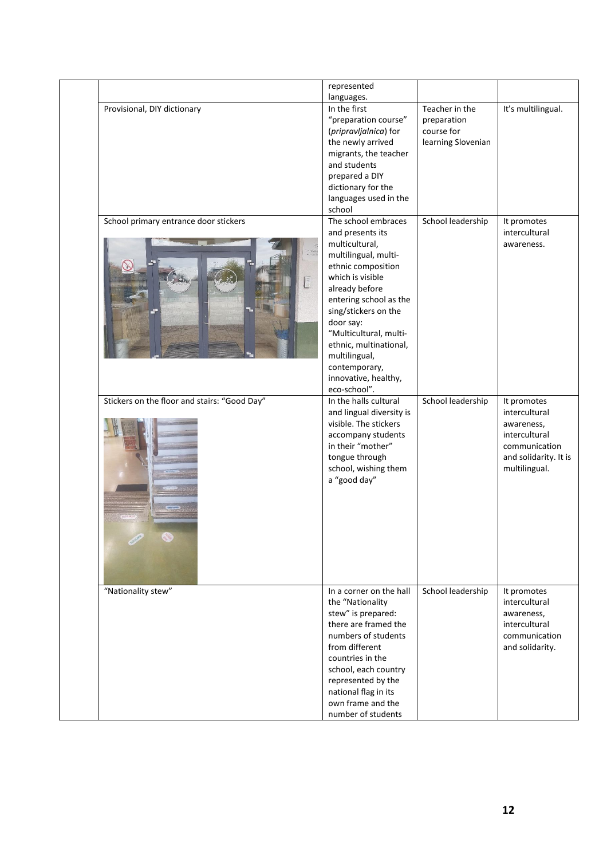|                                                                   | represented                                                                                                                                                                                                                                                                                                                                |                                             |                                                                                                                        |
|-------------------------------------------------------------------|--------------------------------------------------------------------------------------------------------------------------------------------------------------------------------------------------------------------------------------------------------------------------------------------------------------------------------------------|---------------------------------------------|------------------------------------------------------------------------------------------------------------------------|
| Provisional, DIY dictionary                                       | languages.<br>In the first<br>"preparation course"<br>(pripravljalnica) for                                                                                                                                                                                                                                                                | Teacher in the<br>preparation<br>course for | It's multilingual.                                                                                                     |
|                                                                   | the newly arrived<br>migrants, the teacher<br>and students                                                                                                                                                                                                                                                                                 | learning Slovenian                          |                                                                                                                        |
|                                                                   | prepared a DIY<br>dictionary for the                                                                                                                                                                                                                                                                                                       |                                             |                                                                                                                        |
|                                                                   | languages used in the<br>school                                                                                                                                                                                                                                                                                                            |                                             |                                                                                                                        |
| School primary entrance door stickers                             | The school embraces<br>and presents its<br>multicultural,<br>multilingual, multi-<br>ethnic composition<br>which is visible<br>already before<br>entering school as the<br>sing/stickers on the<br>door say:<br>"Multicultural, multi-<br>ethnic, multinational,<br>multilingual,<br>contemporary,<br>innovative, healthy,<br>eco-school". | School leadership                           | It promotes<br>intercultural<br>awareness.                                                                             |
| Stickers on the floor and stairs: "Good Day"<br><b>TIFFY NEWS</b> | In the halls cultural<br>and lingual diversity is<br>visible. The stickers<br>accompany students<br>in their "mother"<br>tongue through<br>school, wishing them<br>a "good day"                                                                                                                                                            | School leadership                           | It promotes<br>intercultural<br>awareness,<br>intercultural<br>communication<br>and solidarity. It is<br>multilingual. |
| "Nationality stew"                                                | In a corner on the hall<br>the "Nationality<br>stew" is prepared:<br>there are framed the<br>numbers of students<br>from different<br>countries in the<br>school, each country<br>represented by the<br>national flag in its<br>own frame and the<br>number of students                                                                    | School leadership                           | It promotes<br>intercultural<br>awareness,<br>intercultural<br>communication<br>and solidarity.                        |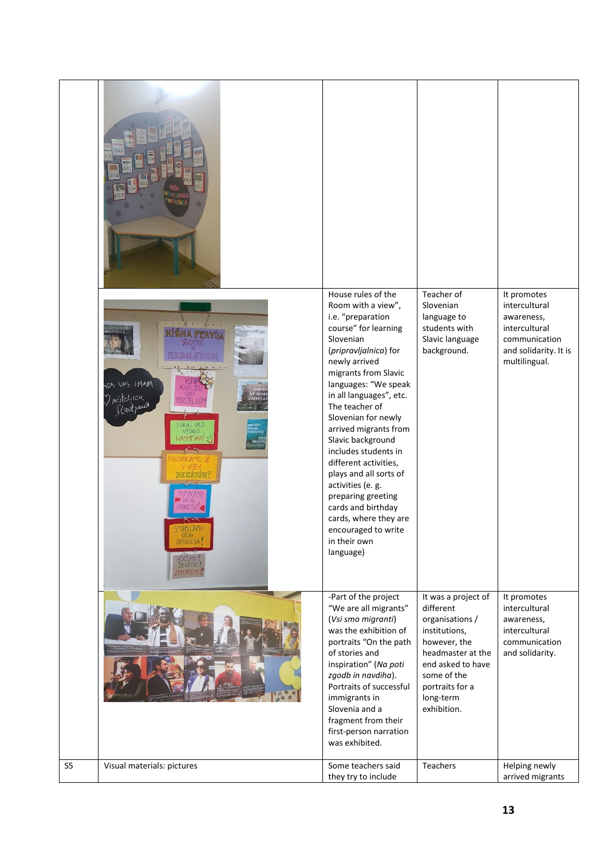|                | <b>RICANTS</b><br><b>HAMI CAV AGY</b><br>) <i>Motelyick</i><br>Kadzaut<br>kteri<br>PODIBU JAMO<br><b>DRUGEGA</b> | House rules of the<br>Room with a view",<br>i.e. "preparation<br>course" for learning<br>Slovenian<br>(pripravljalnica) for<br>newly arrived<br>migrants from Slavic<br>languages: "We speak<br>in all languages", etc.<br>The teacher of<br>Slovenian for newly<br>arrived migrants from<br>Slavic background<br>includes students in<br>different activities,<br>plays and all sorts of<br>activities (e. g.<br>preparing greeting<br>cards and birthday<br>cards, where they are<br>encouraged to write<br>in their own<br>language) | Teacher of<br>Slovenian<br>language to<br>students with<br>Slavic language<br>background.                                                                                                    | It promotes<br>intercultural<br>awareness,<br>intercultural<br>communication<br>and solidarity. It is<br>multilingual. |
|----------------|------------------------------------------------------------------------------------------------------------------|-----------------------------------------------------------------------------------------------------------------------------------------------------------------------------------------------------------------------------------------------------------------------------------------------------------------------------------------------------------------------------------------------------------------------------------------------------------------------------------------------------------------------------------------|----------------------------------------------------------------------------------------------------------------------------------------------------------------------------------------------|------------------------------------------------------------------------------------------------------------------------|
|                |                                                                                                                  | -Part of the project<br>"We are all migrants"<br>(Vsi smo migranti)<br>was the exhibition of<br>portraits "On the path<br>of stories and<br>inspiration" (Na poti<br>zgodb in navdiha).<br>Portraits of successful<br>immigrants in<br>Slovenia and a<br>fragment from their<br>first-person narration<br>was exhibited.                                                                                                                                                                                                                | It was a project of<br>different<br>organisations /<br>institutions,<br>however, the<br>headmaster at the<br>end asked to have<br>some of the<br>portraits for a<br>long-term<br>exhibition. | It promotes<br>intercultural<br>awareness,<br>intercultural<br>communication<br>and solidarity.                        |
| S <sub>5</sub> | Visual materials: pictures                                                                                       | Some teachers said<br>they try to include                                                                                                                                                                                                                                                                                                                                                                                                                                                                                               | Teachers                                                                                                                                                                                     | Helping newly<br>arrived migrants                                                                                      |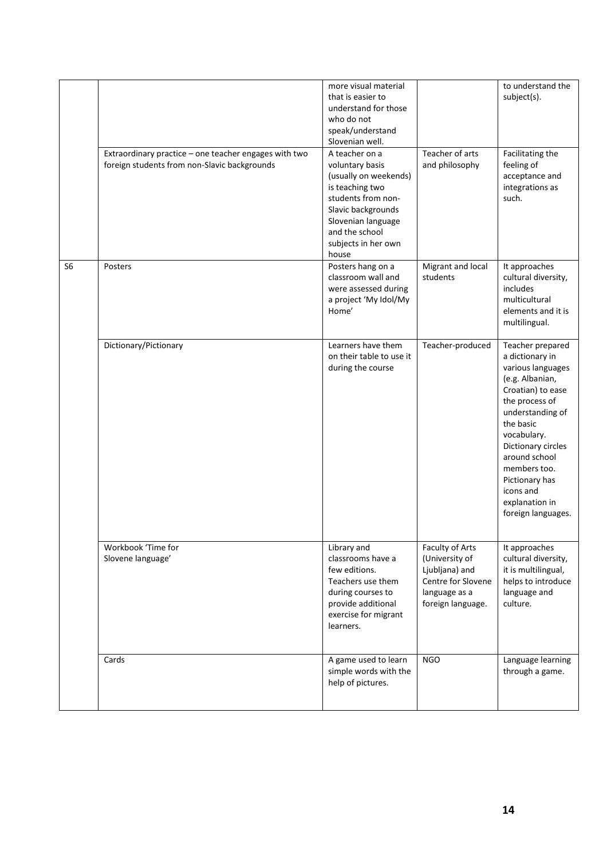|                |                                                                                                       | more visual material<br>that is easier to<br>understand for those<br>who do not<br>speak/understand<br>Slovenian well.                                                                            |                                                                                                                 | to understand the<br>subject(s).                                                                                                                                                                                                                                                                 |
|----------------|-------------------------------------------------------------------------------------------------------|---------------------------------------------------------------------------------------------------------------------------------------------------------------------------------------------------|-----------------------------------------------------------------------------------------------------------------|--------------------------------------------------------------------------------------------------------------------------------------------------------------------------------------------------------------------------------------------------------------------------------------------------|
|                | Extraordinary practice - one teacher engages with two<br>foreign students from non-Slavic backgrounds | A teacher on a<br>voluntary basis<br>(usually on weekends)<br>is teaching two<br>students from non-<br>Slavic backgrounds<br>Slovenian language<br>and the school<br>subjects in her own<br>house | Teacher of arts<br>and philosophy                                                                               | Facilitating the<br>feeling of<br>acceptance and<br>integrations as<br>such.                                                                                                                                                                                                                     |
| S <sub>6</sub> | Posters                                                                                               | Posters hang on a<br>classroom wall and<br>were assessed during<br>a project 'My Idol/My<br>Home'                                                                                                 | Migrant and local<br>students                                                                                   | It approaches<br>cultural diversity,<br>includes<br>multicultural<br>elements and it is<br>multilingual.                                                                                                                                                                                         |
|                | Dictionary/Pictionary                                                                                 | Learners have them<br>on their table to use it<br>during the course                                                                                                                               | Teacher-produced                                                                                                | Teacher prepared<br>a dictionary in<br>various languages<br>(e.g. Albanian,<br>Croatian) to ease<br>the process of<br>understanding of<br>the basic<br>vocabulary.<br>Dictionary circles<br>around school<br>members too.<br>Pictionary has<br>icons and<br>explanation in<br>foreign languages. |
|                | Workbook 'Time for<br>Slovene language'                                                               | Library and<br>classrooms have a<br>few editions.<br>Teachers use them<br>during courses to<br>provide additional<br>exercise for migrant<br>learners.                                            | Faculty of Arts<br>(University of<br>Ljubljana) and<br>Centre for Slovene<br>language as a<br>foreign language. | It approaches<br>cultural diversity,<br>it is multilingual,<br>helps to introduce<br>language and<br>culture.                                                                                                                                                                                    |
|                | Cards                                                                                                 | A game used to learn<br>simple words with the<br>help of pictures.                                                                                                                                | <b>NGO</b>                                                                                                      | Language learning<br>through a game.                                                                                                                                                                                                                                                             |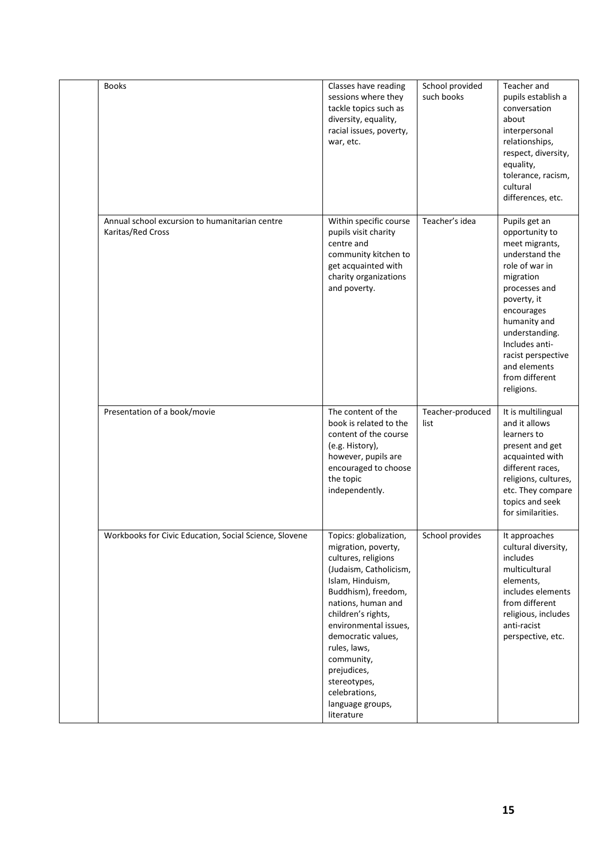| <b>Books</b>                                                        | Classes have reading<br>sessions where they<br>tackle topics such as<br>diversity, equality,<br>racial issues, poverty,<br>war, etc.                                                                                                                                                                                                                 | School provided<br>such books | Teacher and<br>pupils establish a<br>conversation<br>about<br>interpersonal<br>relationships,<br>respect, diversity,<br>equality,<br>tolerance, racism,<br>cultural<br>differences, etc.                                                                                   |
|---------------------------------------------------------------------|------------------------------------------------------------------------------------------------------------------------------------------------------------------------------------------------------------------------------------------------------------------------------------------------------------------------------------------------------|-------------------------------|----------------------------------------------------------------------------------------------------------------------------------------------------------------------------------------------------------------------------------------------------------------------------|
| Annual school excursion to humanitarian centre<br>Karitas/Red Cross | Within specific course<br>pupils visit charity<br>centre and<br>community kitchen to<br>get acquainted with<br>charity organizations<br>and poverty.                                                                                                                                                                                                 | Teacher's idea                | Pupils get an<br>opportunity to<br>meet migrants,<br>understand the<br>role of war in<br>migration<br>processes and<br>poverty, it<br>encourages<br>humanity and<br>understanding.<br>Includes anti-<br>racist perspective<br>and elements<br>from different<br>religions. |
| Presentation of a book/movie                                        | The content of the<br>book is related to the<br>content of the course<br>(e.g. History),<br>however, pupils are<br>encouraged to choose<br>the topic<br>independently.                                                                                                                                                                               | Teacher-produced<br>list      | It is multilingual<br>and it allows<br>learners to<br>present and get<br>acquainted with<br>different races,<br>religions, cultures,<br>etc. They compare<br>topics and seek<br>for similarities.                                                                          |
| Workbooks for Civic Education, Social Science, Slovene              | Topics: globalization,<br>migration, poverty,<br>cultures, religions<br>(Judaism, Catholicism,<br>Islam, Hinduism,<br>Buddhism), freedom,<br>nations, human and<br>children's rights,<br>environmental issues,<br>democratic values,<br>rules, laws,<br>community,<br>prejudices,<br>stereotypes,<br>celebrations,<br>language groups,<br>literature | School provides               | It approaches<br>cultural diversity,<br>includes<br>multicultural<br>elements,<br>includes elements<br>from different<br>religious, includes<br>anti-racist<br>perspective, etc.                                                                                           |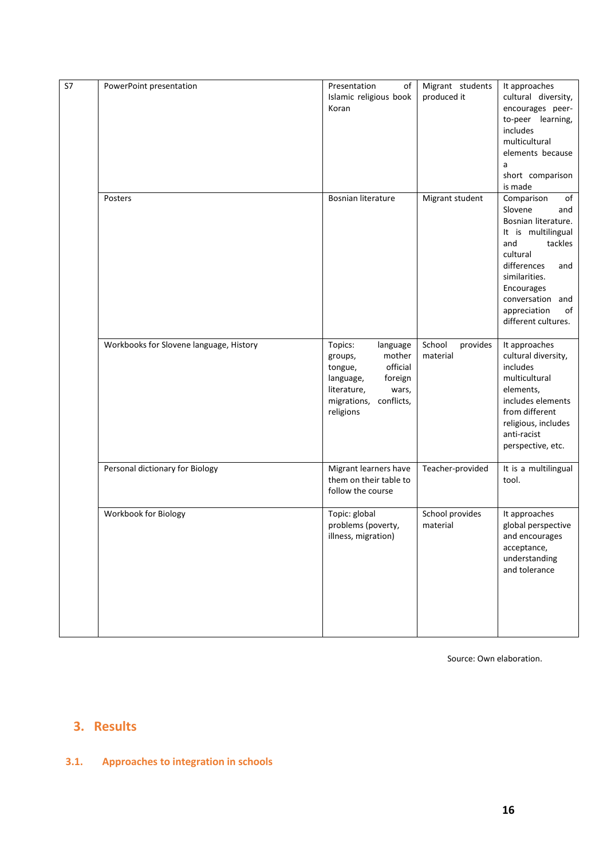| S7 | PowerPoint presentation                 | Presentation<br>of<br>Islamic religious book<br>Koran                                                                                                     | Migrant students<br>produced it | It approaches<br>cultural diversity,<br>encourages peer-<br>to-peer learning,<br>includes<br>multicultural<br>elements because<br>a<br>short comparison<br>is made                                                                  |
|----|-----------------------------------------|-----------------------------------------------------------------------------------------------------------------------------------------------------------|---------------------------------|-------------------------------------------------------------------------------------------------------------------------------------------------------------------------------------------------------------------------------------|
|    | Posters                                 | Bosnian literature                                                                                                                                        | Migrant student                 | of<br>Comparison<br>Slovene<br>and<br>Bosnian literature.<br>It is multilingual<br>tackles<br>and<br>cultural<br>differences<br>and<br>similarities.<br>Encourages<br>conversation and<br>appreciation<br>of<br>different cultures. |
|    | Workbooks for Slovene language, History | Topics:<br>language<br>mother<br>groups,<br>official<br>tongue,<br>foreign<br>language,<br>literature,<br>wars,<br>conflicts,<br>migrations,<br>religions | School<br>provides<br>material  | It approaches<br>cultural diversity,<br>includes<br>multicultural<br>elements,<br>includes elements<br>from different<br>religious, includes<br>anti-racist<br>perspective, etc.                                                    |
|    | Personal dictionary for Biology         | Migrant learners have<br>them on their table to<br>follow the course                                                                                      | Teacher-provided                | It is a multilingual<br>tool.                                                                                                                                                                                                       |
|    | Workbook for Biology                    | Topic: global<br>problems (poverty,<br>illness, migration)                                                                                                | School provides<br>material     | It approaches<br>global perspective<br>and encourages<br>acceptance,<br>understanding<br>and tolerance                                                                                                                              |

Source: Own elaboration.

# <span id="page-15-0"></span>**3. Results**

## <span id="page-15-1"></span>**3.1. Approaches to integration in schools**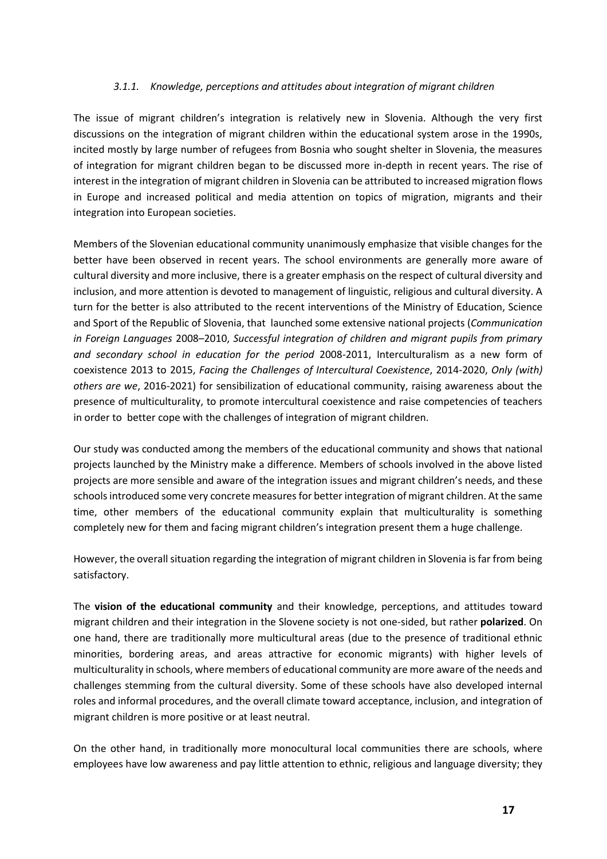#### *3.1.1. Knowledge, perceptions and attitudes about integration of migrant children*

The issue of migrant children's integration is relatively new in Slovenia. Although the very first discussions on the integration of migrant children within the educational system arose in the 1990s, incited mostly by large number of refugees from Bosnia who sought shelter in Slovenia, the measures of integration for migrant children began to be discussed more in-depth in recent years. The rise of interest in the integration of migrant children in Slovenia can be attributed to increased migration flows in Europe and increased political and media attention on topics of migration, migrants and their integration into European societies.

Members of the Slovenian educational community unanimously emphasize that visible changes for the better have been observed in recent years. The school environments are generally more aware of cultural diversity and more inclusive, there is a greater emphasis on the respect of cultural diversity and inclusion, and more attention is devoted to management of linguistic, religious and cultural diversity. A turn for the better is also attributed to the recent interventions of the Ministry of Education, Science and Sport of the Republic of Slovenia, that launched some extensive national projects (*Communication in Foreign Languages* 2008–2010, *Successful integration of children and migrant pupils from primary and secondary school in education for the period* 2008-2011, Interculturalism as a new form of coexistence 2013 to 2015, *Facing the Challenges of Intercultural Coexistence*, 2014-2020, *Only (with) others are we*, 2016-2021) for sensibilization of educational community, raising awareness about the presence of multiculturality, to promote intercultural coexistence and raise competencies of teachers in order to better cope with the challenges of integration of migrant children.

Our study was conducted among the members of the educational community and shows that national projects launched by the Ministry make a difference. Members of schools involved in the above listed projects are more sensible and aware of the integration issues and migrant children's needs, and these schools introduced some very concrete measures for better integration of migrant children. At the same time, other members of the educational community explain that multiculturality is something completely new for them and facing migrant children's integration present them a huge challenge.

However, the overall situation regarding the integration of migrant children in Slovenia is far from being satisfactory.

The **vision of the educational community** and their knowledge, perceptions, and attitudes toward migrant children and their integration in the Slovene society is not one-sided, but rather **polarized**. On one hand, there are traditionally more multicultural areas (due to the presence of traditional ethnic minorities, bordering areas, and areas attractive for economic migrants) with higher levels of multiculturality in schools, where members of educational community are more aware of the needs and challenges stemming from the cultural diversity. Some of these schools have also developed internal roles and informal procedures, and the overall climate toward acceptance, inclusion, and integration of migrant children is more positive or at least neutral.

On the other hand, in traditionally more monocultural local communities there are schools, where employees have low awareness and pay little attention to ethnic, religious and language diversity; they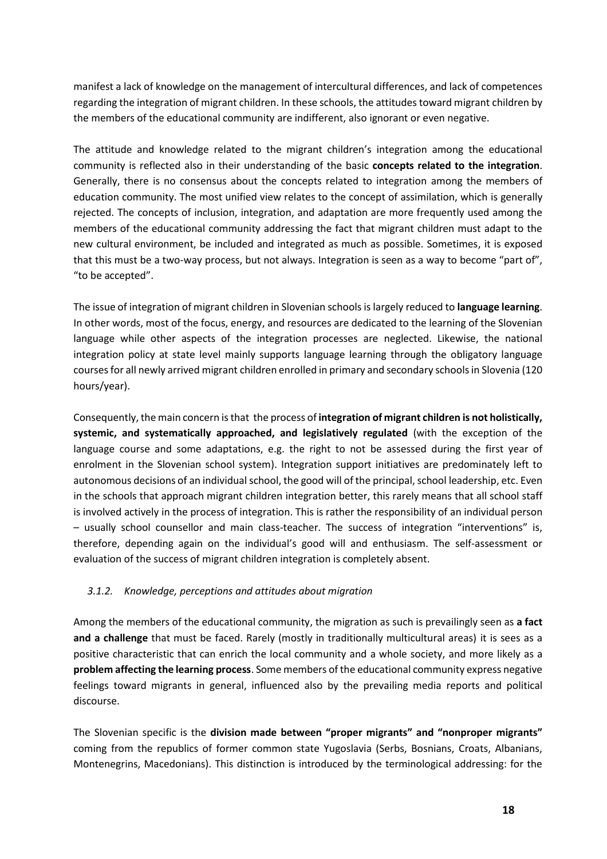manifest a lack of knowledge on the management of intercultural differences, and lack of competences regarding the integration of migrant children. In these schools, the attitudes toward migrant children by the members of the educational community are indifferent, also ignorant or even negative.

The attitude and knowledge related to the migrant children's integration among the educational community is reflected also in their understanding of the basic **concepts related to the integration**. Generally, there is no consensus about the concepts related to integration among the members of education community. The most unified view relates to the concept of assimilation, which is generally rejected. The concepts of inclusion, integration, and adaptation are more frequently used among the members of the educational community addressing the fact that migrant children must adapt to the new cultural environment, be included and integrated as much as possible. Sometimes, it is exposed that this must be a two-way process, but not always. Integration is seen as a way to become "part of", "to be accepted".

The issue of integration of migrant children in Slovenian schools is largely reduced to **language learning**. In other words, most of the focus, energy, and resources are dedicated to the learning of the Slovenian language while other aspects of the integration processes are neglected. Likewise, the national integration policy at state level mainly supports language learning through the obligatory language courses for all newly arrived migrant children enrolled in primary and secondary schools in Slovenia (120 hours/year).

Consequently, the main concern is that the process of **integration of migrant children is not holistically, systemic, and systematically approached, and legislatively regulated** (with the exception of the language course and some adaptations, e.g. the right to not be assessed during the first year of enrolment in the Slovenian school system). Integration support initiatives are predominately left to autonomous decisions of an individual school, the good will of the principal, school leadership, etc. Even in the schools that approach migrant children integration better, this rarely means that all school staff is involved actively in the process of integration. This is rather the responsibility of an individual person – usually school counsellor and main class-teacher. The success of integration "interventions" is, therefore, depending again on the individual's good will and enthusiasm. The self-assessment or evaluation of the success of migrant children integration is completely absent.

#### *3.1.2. Knowledge, perceptions and attitudes about migration*

Among the members of the educational community, the migration as such is prevailingly seen as **a fact and a challenge** that must be faced. Rarely (mostly in traditionally multicultural areas) it is sees as a positive characteristic that can enrich the local community and a whole society, and more likely as a **problem affecting the learning process**. Some members of the educational community express negative feelings toward migrants in general, influenced also by the prevailing media reports and political discourse.

The Slovenian specific is the **division made between "proper migrants" and "nonproper migrants"**  coming from the republics of former common state Yugoslavia (Serbs, Bosnians, Croats, Albanians, Montenegrins, Macedonians). This distinction is introduced by the terminological addressing: for the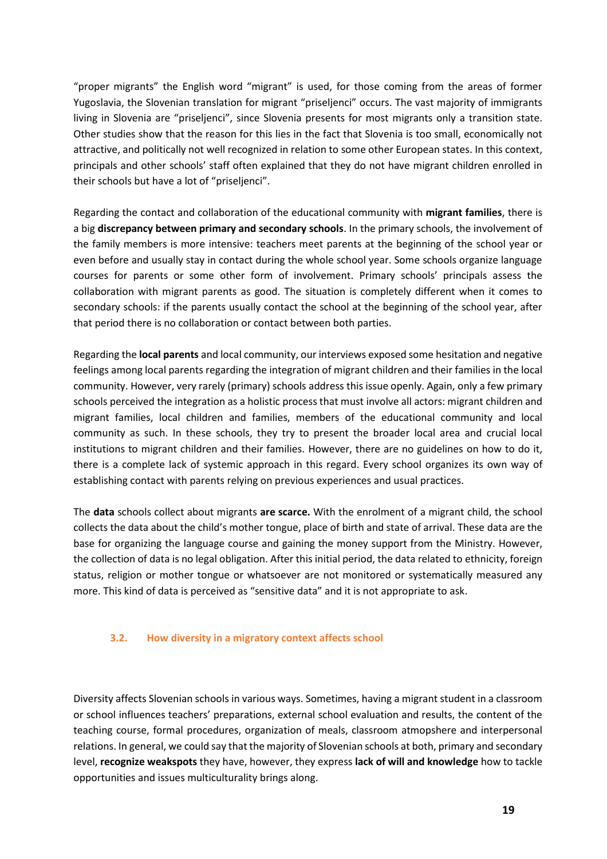"proper migrants" the English word "migrant" is used, for those coming from the areas of former Yugoslavia, the Slovenian translation for migrant "priseljenci" occurs. The vast majority of immigrants living in Slovenia are "priseljenci", since Slovenia presents for most migrants only a transition state. Other studies show that the reason for this lies in the fact that Slovenia is too small, economically not attractive, and politically not well recognized in relation to some other European states. In this context, principals and other schools' staff often explained that they do not have migrant children enrolled in their schools but have a lot of "priseljenci".

Regarding the contact and collaboration of the educational community with **migrant families**, there is a big **discrepancy between primary and secondary schools**. In the primary schools, the involvement of the family members is more intensive: teachers meet parents at the beginning of the school year or even before and usually stay in contact during the whole school year. Some schools organize language courses for parents or some other form of involvement. Primary schools' principals assess the collaboration with migrant parents as good. The situation is completely different when it comes to secondary schools: if the parents usually contact the school at the beginning of the school year, after that period there is no collaboration or contact between both parties.

Regarding the **local parents** and local community, our interviews exposed some hesitation and negative feelings among local parents regarding the integration of migrant children and their families in the local community. However, very rarely (primary) schools address this issue openly. Again, only a few primary schools perceived the integration as a holistic process that must involve all actors: migrant children and migrant families, local children and families, members of the educational community and local community as such. In these schools, they try to present the broader local area and crucial local institutions to migrant children and their families. However, there are no guidelines on how to do it, there is a complete lack of systemic approach in this regard. Every school organizes its own way of establishing contact with parents relying on previous experiences and usual practices.

The **data** schools collect about migrants **are scarce.** With the enrolment of a migrant child, the school collects the data about the child's mother tongue, place of birth and state of arrival. These data are the base for organizing the language course and gaining the money support from the Ministry. However, the collection of data is no legal obligation. After this initial period, the data related to ethnicity, foreign status, religion or mother tongue or whatsoever are not monitored or systematically measured any more. This kind of data is perceived as "sensitive data" and it is not appropriate to ask.

#### <span id="page-18-0"></span>**3.2. How diversity in a migratory context affects school**

Diversity affects Slovenian schools in various ways. Sometimes, having a migrant student in a classroom or school influences teachers' preparations, external school evaluation and results, the content of the teaching course, formal procedures, organization of meals, classroom atmopshere and interpersonal relations. In general, we could say that the majority of Slovenian schools at both, primary and secondary level, **recognize weakspots** they have, however, they express **lack of will and knowledge** how to tackle opportunities and issues multiculturality brings along.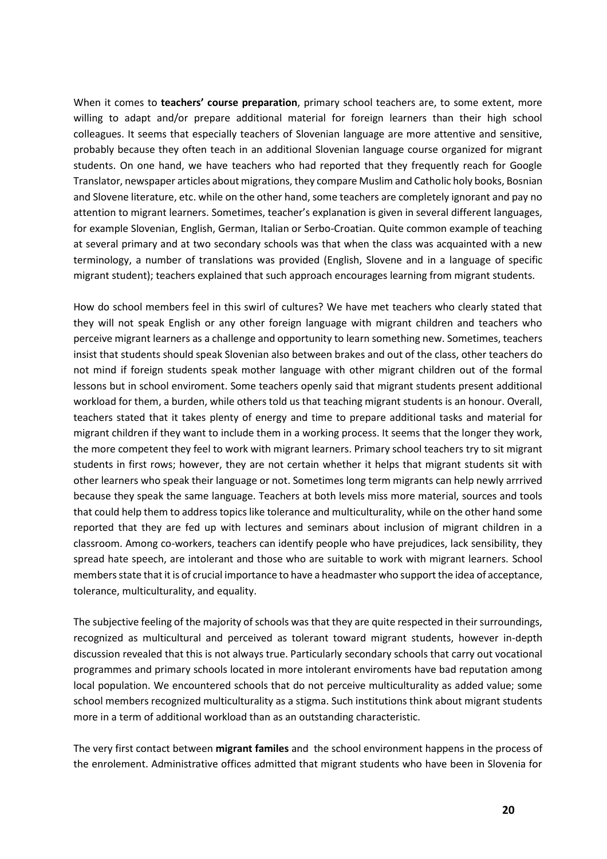When it comes to **teachers' course preparation**, primary school teachers are, to some extent, more willing to adapt and/or prepare additional material for foreign learners than their high school colleagues. It seems that especially teachers of Slovenian language are more attentive and sensitive, probably because they often teach in an additional Slovenian language course organized for migrant students. On one hand, we have teachers who had reported that they frequently reach for Google Translator, newspaper articles about migrations, they compare Muslim and Catholic holy books, Bosnian and Slovene literature, etc. while on the other hand, some teachers are completely ignorant and pay no attention to migrant learners. Sometimes, teacher's explanation is given in several different languages, for example Slovenian, English, German, Italian or Serbo-Croatian. Quite common example of teaching at several primary and at two secondary schools was that when the class was acquainted with a new terminology, a number of translations was provided (English, Slovene and in a language of specific migrant student); teachers explained that such approach encourages learning from migrant students.

How do school members feel in this swirl of cultures? We have met teachers who clearly stated that they will not speak English or any other foreign language with migrant children and teachers who perceive migrant learners as a challenge and opportunity to learn something new. Sometimes, teachers insist that students should speak Slovenian also between brakes and out of the class, other teachers do not mind if foreign students speak mother language with other migrant children out of the formal lessons but in school enviroment. Some teachers openly said that migrant students present additional workload for them, a burden, while others told us that teaching migrant students is an honour. Overall, teachers stated that it takes plenty of energy and time to prepare additional tasks and material for migrant children if they want to include them in a working process. It seems that the longer they work, the more competent they feel to work with migrant learners. Primary school teachers try to sit migrant students in first rows; however, they are not certain whether it helps that migrant students sit with other learners who speak their language or not. Sometimes long term migrants can help newly arrrived because they speak the same language. Teachers at both levels miss more material, sources and tools that could help them to address topics like tolerance and multiculturality, while on the other hand some reported that they are fed up with lectures and seminars about inclusion of migrant children in a classroom. Among co-workers, teachers can identify people who have prejudices, lack sensibility, they spread hate speech, are intolerant and those who are suitable to work with migrant learners. School membersstate that it is of crucial importance to have a headmaster who support the idea of acceptance, tolerance, multiculturality, and equality.

The subjective feeling of the majority of schools was that they are quite respected in their surroundings, recognized as multicultural and perceived as tolerant toward migrant students, however in-depth discussion revealed that this is not always true. Particularly secondary schools that carry out vocational programmes and primary schools located in more intolerant enviroments have bad reputation among local population. We encountered schools that do not perceive multiculturality as added value; some school members recognized multiculturality as a stigma. Such institutions think about migrant students more in a term of additional workload than as an outstanding characteristic.

The very first contact between **migrant familes** and the school environment happens in the process of the enrolement. Administrative offices admitted that migrant students who have been in Slovenia for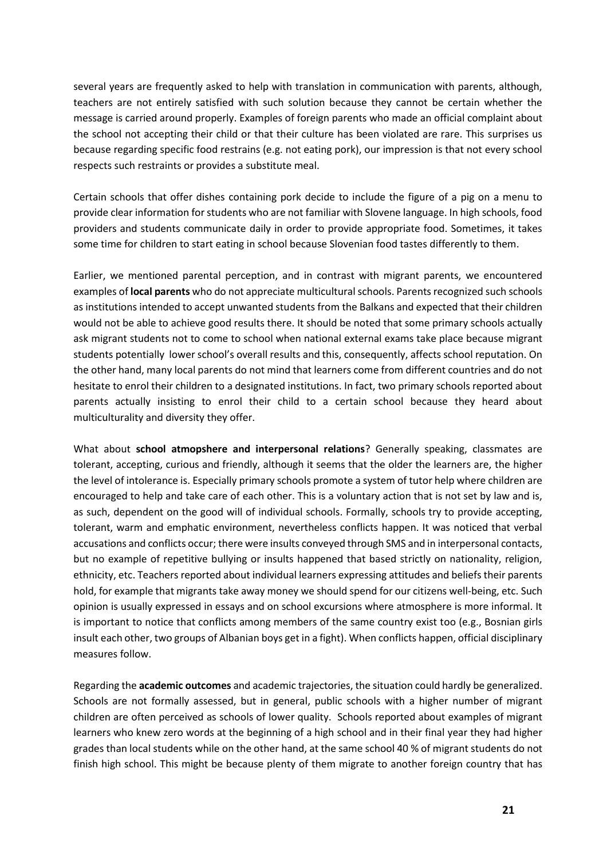several years are frequently asked to help with translation in communication with parents, although, teachers are not entirely satisfied with such solution because they cannot be certain whether the message is carried around properly. Examples of foreign parents who made an official complaint about the school not accepting their child or that their culture has been violated are rare. This surprises us because regarding specific food restrains (e.g. not eating pork), our impression is that not every school respects such restraints or provides a substitute meal.

Certain schools that offer dishes containing pork decide to include the figure of a pig on a menu to provide clear information for students who are not familiar with Slovene language. In high schools, food providers and students communicate daily in order to provide appropriate food. Sometimes, it takes some time for children to start eating in school because Slovenian food tastes differently to them.

Earlier, we mentioned parental perception, and in contrast with migrant parents, we encountered examples of **local parents** who do not appreciate multicultural schools. Parents recognized such schools as institutions intended to accept unwanted students from the Balkans and expected that their children would not be able to achieve good results there. It should be noted that some primary schools actually ask migrant students not to come to school when national external exams take place because migrant students potentially lower school's overall results and this, consequently, affects school reputation. On the other hand, many local parents do not mind that learners come from different countries and do not hesitate to enrol their children to a designated institutions. In fact, two primary schools reported about parents actually insisting to enrol their child to a certain school because they heard about multiculturality and diversity they offer.

What about **school atmopshere and interpersonal relations**? Generally speaking, classmates are tolerant, accepting, curious and friendly, although it seems that the older the learners are, the higher the level of intolerance is. Especially primary schools promote a system of tutor help where children are encouraged to help and take care of each other. This is a voluntary action that is not set by law and is, as such, dependent on the good will of individual schools. Formally, schools try to provide accepting, tolerant, warm and emphatic environment, nevertheless conflicts happen. It was noticed that verbal accusations and conflicts occur; there were insults conveyed through SMS and in interpersonal contacts, but no example of repetitive bullying or insults happened that based strictly on nationality, religion, ethnicity, etc. Teachers reported about individual learners expressing attitudes and beliefs their parents hold, for example that migrants take away money we should spend for our citizens well-being, etc. Such opinion is usually expressed in essays and on school excursions where atmosphere is more informal. It is important to notice that conflicts among members of the same country exist too (e.g., Bosnian girls insult each other, two groups of Albanian boys get in a fight). When conflicts happen, official disciplinary measures follow.

Regarding the **academic outcomes** and academic trajectories, the situation could hardly be generalized. Schools are not formally assessed, but in general, public schools with a higher number of migrant children are often perceived as schools of lower quality. Schools reported about examples of migrant learners who knew zero words at the beginning of a high school and in their final year they had higher grades than local students while on the other hand, at the same school 40 % of migrant students do not finish high school. This might be because plenty of them migrate to another foreign country that has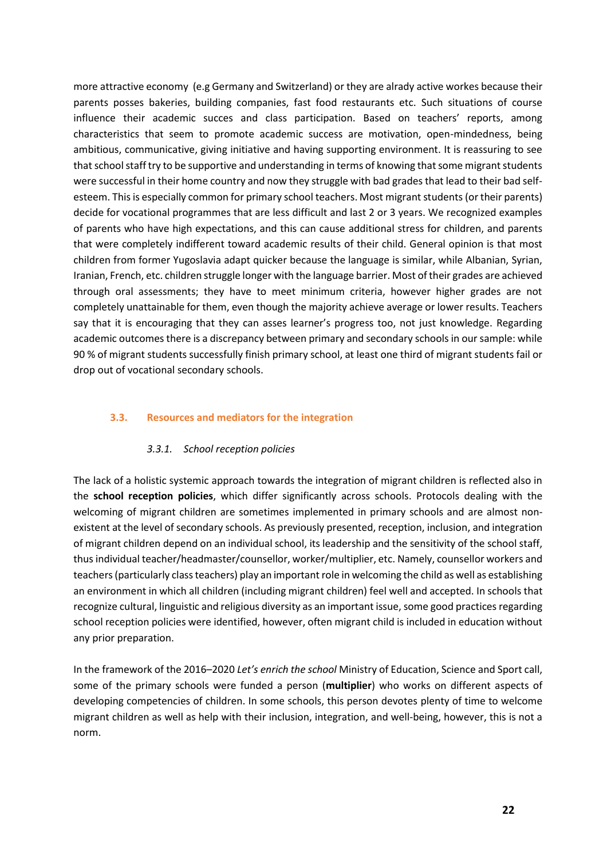more attractive economy (e.g Germany and Switzerland) or they are alrady active workes because their parents posses bakeries, building companies, fast food restaurants etc. Such situations of course influence their academic succes and class participation. Based on teachers' reports, among characteristics that seem to promote academic success are motivation, open-mindedness, being ambitious, communicative, giving initiative and having supporting environment. It is reassuring to see that school staff try to be supportive and understanding in terms of knowing that some migrant students were successful in their home country and now they struggle with bad grades that lead to their bad selfesteem. This is especially common for primary school teachers. Most migrant students (or their parents) decide for vocational programmes that are less difficult and last 2 or 3 years. We recognized examples of parents who have high expectations, and this can cause additional stress for children, and parents that were completely indifferent toward academic results of their child. General opinion is that most children from former Yugoslavia adapt quicker because the language is similar, while Albanian, Syrian, Iranian, French, etc. children struggle longer with the language barrier. Most of their grades are achieved through oral assessments; they have to meet minimum criteria, however higher grades are not completely unattainable for them, even though the majority achieve average or lower results. Teachers say that it is encouraging that they can asses learner's progress too, not just knowledge. Regarding academic outcomes there is a discrepancy between primary and secondary schools in our sample: while 90 % of migrant students successfully finish primary school, at least one third of migrant students fail or drop out of vocational secondary schools.

#### <span id="page-21-0"></span>**3.3. Resources and mediators for the integration**

#### *3.3.1. School reception policies*

The lack of a holistic systemic approach towards the integration of migrant children is reflected also in the **school reception policies**, which differ significantly across schools. Protocols dealing with the welcoming of migrant children are sometimes implemented in primary schools and are almost nonexistent at the level of secondary schools. As previously presented, reception, inclusion, and integration of migrant children depend on an individual school, its leadership and the sensitivity of the school staff, thus individual teacher/headmaster/counsellor, worker/multiplier, etc. Namely, counsellor workers and teachers (particularly class teachers) play an important role in welcoming the child as well as establishing an environment in which all children (including migrant children) feel well and accepted. In schools that recognize cultural, linguistic and religious diversity as an important issue, some good practices regarding school reception policies were identified, however, often migrant child is included in education without any prior preparation.

In the framework of the 2016–2020 *Let's enrich the school* Ministry of Education, Science and Sport call, some of the primary schools were funded a person (**multiplier**) who works on different aspects of developing competencies of children. In some schools, this person devotes plenty of time to welcome migrant children as well as help with their inclusion, integration, and well-being, however, this is not a norm.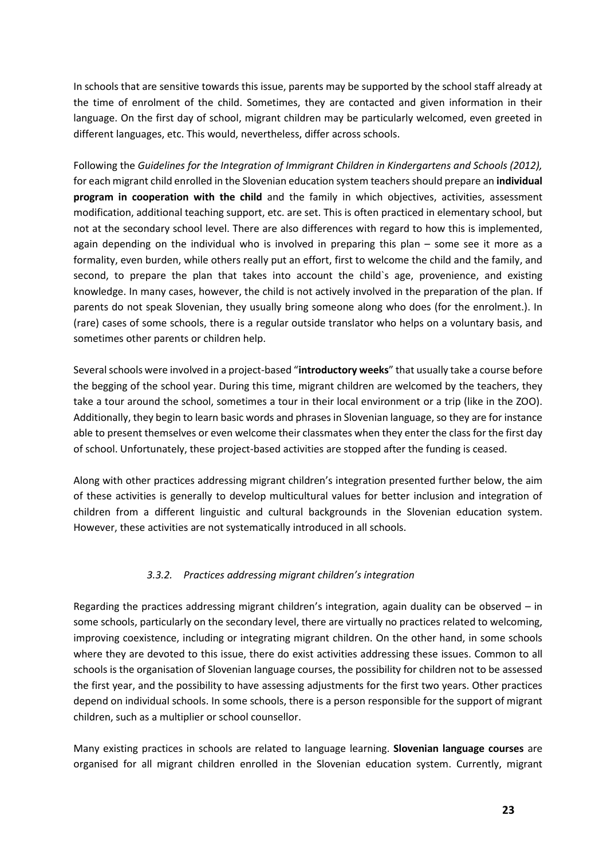In schools that are sensitive towards this issue, parents may be supported by the school staff already at the time of enrolment of the child. Sometimes, they are contacted and given information in their language. On the first day of school, migrant children may be particularly welcomed, even greeted in different languages, etc. This would, nevertheless, differ across schools.

Following the *Guidelines for the Integration of Immigrant Children in Kindergartens and Schools (2012),* for each migrant child enrolled in the Slovenian education system teachers should prepare an **individual program in cooperation with the child** and the family in which objectives, activities, assessment modification, additional teaching support, etc. are set. This is often practiced in elementary school, but not at the secondary school level. There are also differences with regard to how this is implemented, again depending on the individual who is involved in preparing this plan – some see it more as a formality, even burden, while others really put an effort, first to welcome the child and the family, and second, to prepare the plan that takes into account the child's age, provenience, and existing knowledge. In many cases, however, the child is not actively involved in the preparation of the plan. If parents do not speak Slovenian, they usually bring someone along who does (for the enrolment.). In (rare) cases of some schools, there is a regular outside translator who helps on a voluntary basis, and sometimes other parents or children help.

Severalschools were involved in a project-based "**introductory weeks**" that usually take a course before the begging of the school year. During this time, migrant children are welcomed by the teachers, they take a tour around the school, sometimes a tour in their local environment or a trip (like in the ZOO). Additionally, they begin to learn basic words and phrases in Slovenian language, so they are for instance able to present themselves or even welcome their classmates when they enter the class for the first day of school. Unfortunately, these project-based activities are stopped after the funding is ceased.

Along with other practices addressing migrant children's integration presented further below, the aim of these activities is generally to develop multicultural values for better inclusion and integration of children from a different linguistic and cultural backgrounds in the Slovenian education system. However, these activities are not systematically introduced in all schools.

#### *3.3.2. Practices addressing migrant children's integration*

Regarding the practices addressing migrant children's integration, again duality can be observed – in some schools, particularly on the secondary level, there are virtually no practices related to welcoming, improving coexistence, including or integrating migrant children. On the other hand, in some schools where they are devoted to this issue, there do exist activities addressing these issues. Common to all schools is the organisation of Slovenian language courses, the possibility for children not to be assessed the first year, and the possibility to have assessing adjustments for the first two years. Other practices depend on individual schools. In some schools, there is a person responsible for the support of migrant children, such as a multiplier or school counsellor.

Many existing practices in schools are related to language learning. **Slovenian language courses** are organised for all migrant children enrolled in the Slovenian education system. Currently, migrant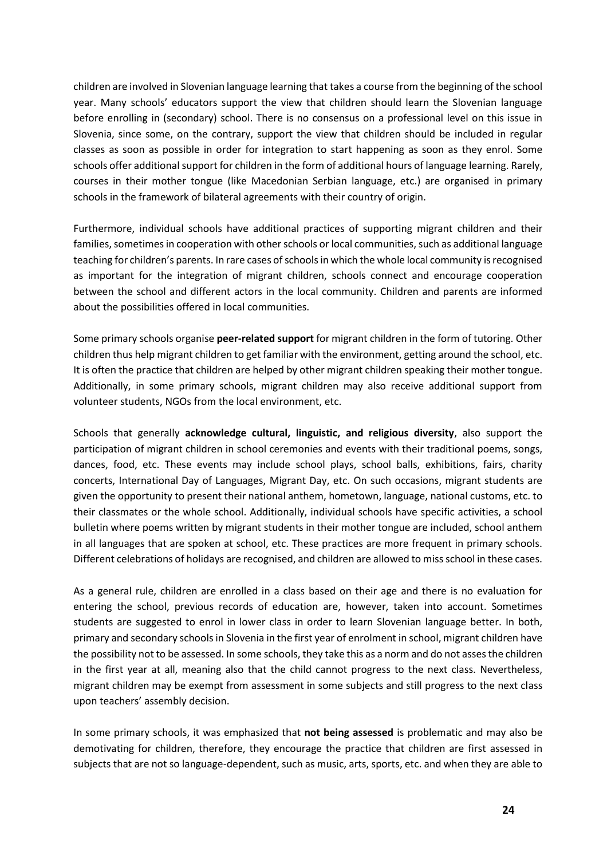children are involved in Slovenian language learning that takes a course from the beginning of the school year. Many schools' educators support the view that children should learn the Slovenian language before enrolling in (secondary) school. There is no consensus on a professional level on this issue in Slovenia, since some, on the contrary, support the view that children should be included in regular classes as soon as possible in order for integration to start happening as soon as they enrol. Some schools offer additional support for children in the form of additional hours of language learning. Rarely, courses in their mother tongue (like Macedonian Serbian language, etc.) are organised in primary schools in the framework of bilateral agreements with their country of origin.

Furthermore, individual schools have additional practices of supporting migrant children and their families, sometimes in cooperation with other schools or local communities, such as additional language teaching for children's parents. In rare cases of schools in which the whole local community is recognised as important for the integration of migrant children, schools connect and encourage cooperation between the school and different actors in the local community. Children and parents are informed about the possibilities offered in local communities.

Some primary schools organise **peer-related support** for migrant children in the form of tutoring. Other children thus help migrant children to get familiar with the environment, getting around the school, etc. It is often the practice that children are helped by other migrant children speaking their mother tongue. Additionally, in some primary schools, migrant children may also receive additional support from volunteer students, NGOs from the local environment, etc.

Schools that generally **acknowledge cultural, linguistic, and religious diversity**, also support the participation of migrant children in school ceremonies and events with their traditional poems, songs, dances, food, etc. These events may include school plays, school balls, exhibitions, fairs, charity concerts, International Day of Languages, Migrant Day, etc. On such occasions, migrant students are given the opportunity to present their national anthem, hometown, language, national customs, etc. to their classmates or the whole school. Additionally, individual schools have specific activities, a school bulletin where poems written by migrant students in their mother tongue are included, school anthem in all languages that are spoken at school, etc. These practices are more frequent in primary schools. Different celebrations of holidays are recognised, and children are allowed to missschool in these cases.

As a general rule, children are enrolled in a class based on their age and there is no evaluation for entering the school, previous records of education are, however, taken into account. Sometimes students are suggested to enrol in lower class in order to learn Slovenian language better. In both, primary and secondary schools in Slovenia in the first year of enrolment in school, migrant children have the possibility not to be assessed. In some schools, they take this as a norm and do not asses the children in the first year at all, meaning also that the child cannot progress to the next class. Nevertheless, migrant children may be exempt from assessment in some subjects and still progress to the next class upon teachers' assembly decision.

In some primary schools, it was emphasized that **not being assessed** is problematic and may also be demotivating for children, therefore, they encourage the practice that children are first assessed in subjects that are not so language-dependent, such as music, arts, sports, etc. and when they are able to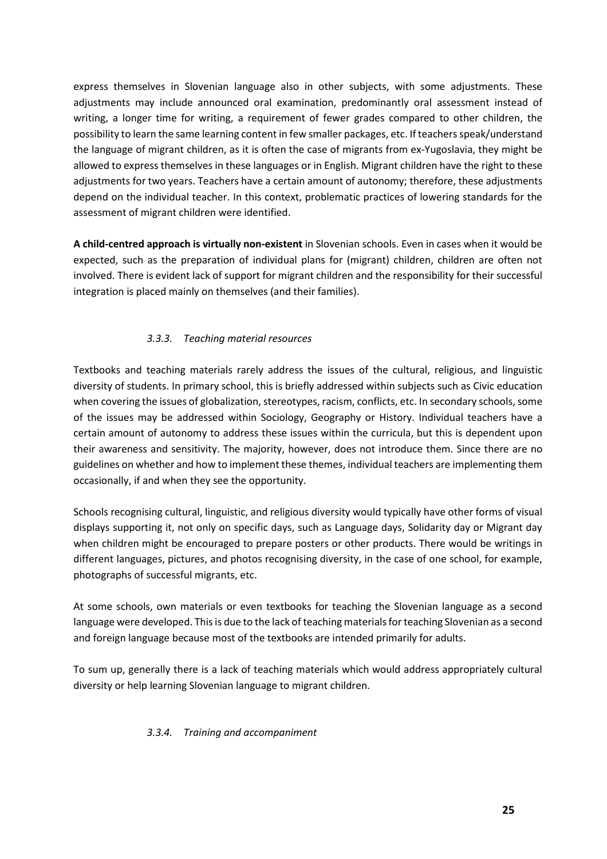express themselves in Slovenian language also in other subjects, with some adjustments. These adjustments may include announced oral examination, predominantly oral assessment instead of writing, a longer time for writing, a requirement of fewer grades compared to other children, the possibility to learn the same learning content in few smaller packages, etc. If teachers speak/understand the language of migrant children, as it is often the case of migrants from ex-Yugoslavia, they might be allowed to express themselves in these languages or in English. Migrant children have the right to these adjustments for two years. Teachers have a certain amount of autonomy; therefore, these adjustments depend on the individual teacher. In this context, problematic practices of lowering standards for the assessment of migrant children were identified.

**A child-centred approach is virtually non-existent** in Slovenian schools. Even in cases when it would be expected, such as the preparation of individual plans for (migrant) children, children are often not involved. There is evident lack of support for migrant children and the responsibility for their successful integration is placed mainly on themselves (and their families).

#### *3.3.3. Teaching material resources*

Textbooks and teaching materials rarely address the issues of the cultural, religious, and linguistic diversity of students. In primary school, this is briefly addressed within subjects such as Civic education when covering the issues of globalization, stereotypes, racism, conflicts, etc. In secondary schools, some of the issues may be addressed within Sociology, Geography or History. Individual teachers have a certain amount of autonomy to address these issues within the curricula, but this is dependent upon their awareness and sensitivity. The majority, however, does not introduce them. Since there are no guidelines on whether and how to implement these themes, individual teachers are implementing them occasionally, if and when they see the opportunity.

Schools recognising cultural, linguistic, and religious diversity would typically have other forms of visual displays supporting it, not only on specific days, such as Language days, Solidarity day or Migrant day when children might be encouraged to prepare posters or other products. There would be writings in different languages, pictures, and photos recognising diversity, in the case of one school, for example, photographs of successful migrants, etc.

At some schools, own materials or even textbooks for teaching the Slovenian language as a second language were developed. This is due to the lack of teaching materials for teaching Slovenian as a second and foreign language because most of the textbooks are intended primarily for adults.

To sum up, generally there is a lack of teaching materials which would address appropriately cultural diversity or help learning Slovenian language to migrant children.

#### *3.3.4. Training and accompaniment*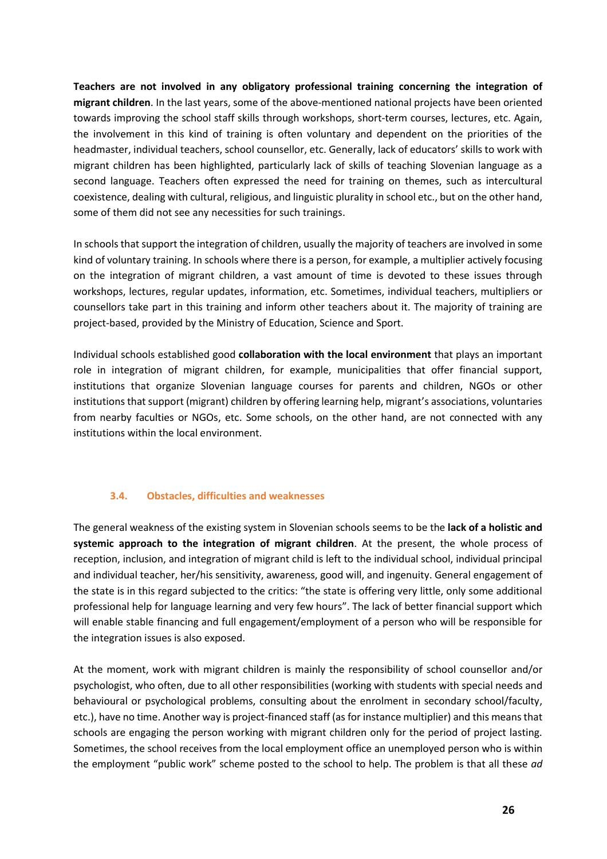**Teachers are not involved in any obligatory professional training concerning the integration of migrant children**. In the last years, some of the above-mentioned national projects have been oriented towards improving the school staff skills through workshops, short-term courses, lectures, etc. Again, the involvement in this kind of training is often voluntary and dependent on the priorities of the headmaster, individual teachers, school counsellor, etc. Generally, lack of educators' skills to work with migrant children has been highlighted, particularly lack of skills of teaching Slovenian language as a second language. Teachers often expressed the need for training on themes, such as intercultural coexistence, dealing with cultural, religious, and linguistic plurality in school etc., but on the other hand, some of them did not see any necessities for such trainings.

In schools that support the integration of children, usually the majority of teachers are involved in some kind of voluntary training. In schools where there is a person, for example, a multiplier actively focusing on the integration of migrant children, a vast amount of time is devoted to these issues through workshops, lectures, regular updates, information, etc. Sometimes, individual teachers, multipliers or counsellors take part in this training and inform other teachers about it. The majority of training are project-based, provided by the Ministry of Education, Science and Sport.

Individual schools established good **collaboration with the local environment** that plays an important role in integration of migrant children, for example, municipalities that offer financial support, institutions that organize Slovenian language courses for parents and children, NGOs or other institutions that support (migrant) children by offering learning help, migrant's associations, voluntaries from nearby faculties or NGOs, etc. Some schools, on the other hand, are not connected with any institutions within the local environment.

#### **3.4. Obstacles, difficulties and weaknesses**

<span id="page-25-0"></span>The general weakness of the existing system in Slovenian schools seems to be the **lack of a holistic and systemic approach to the integration of migrant children**. At the present, the whole process of reception, inclusion, and integration of migrant child is left to the individual school, individual principal and individual teacher, her/his sensitivity, awareness, good will, and ingenuity. General engagement of the state is in this regard subjected to the critics: "the state is offering very little, only some additional professional help for language learning and very few hours". The lack of better financial support which will enable stable financing and full engagement/employment of a person who will be responsible for the integration issues is also exposed.

At the moment, work with migrant children is mainly the responsibility of school counsellor and/or psychologist, who often, due to all other responsibilities (working with students with special needs and behavioural or psychological problems, consulting about the enrolment in secondary school/faculty, etc.), have no time. Another way is project-financed staff (as for instance multiplier) and this meansthat schools are engaging the person working with migrant children only for the period of project lasting. Sometimes, the school receives from the local employment office an unemployed person who is within the employment "public work" scheme posted to the school to help. The problem is that all these *ad*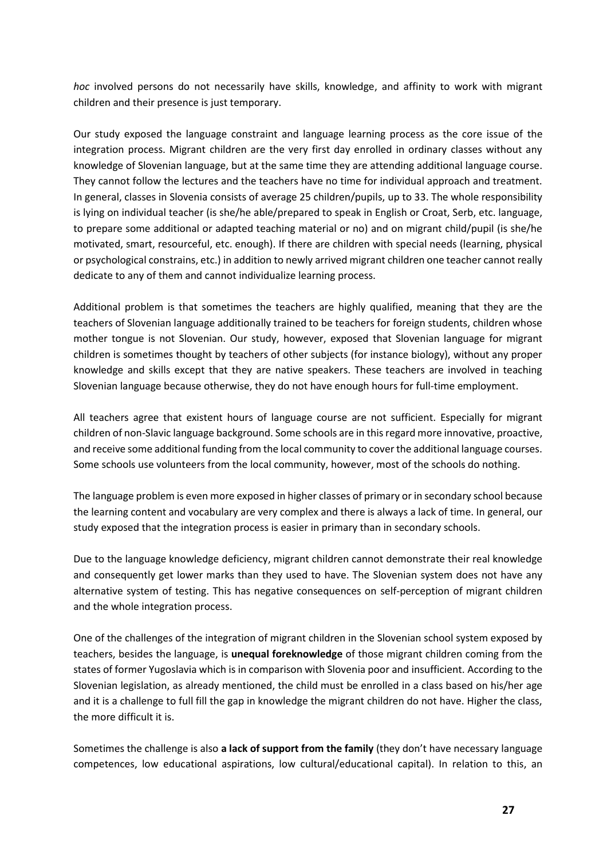*hoc* involved persons do not necessarily have skills, knowledge, and affinity to work with migrant children and their presence is just temporary.

Our study exposed the language constraint and language learning process as the core issue of the integration process. Migrant children are the very first day enrolled in ordinary classes without any knowledge of Slovenian language, but at the same time they are attending additional language course. They cannot follow the lectures and the teachers have no time for individual approach and treatment. In general, classes in Slovenia consists of average 25 children/pupils, up to 33. The whole responsibility is lying on individual teacher (is she/he able/prepared to speak in English or Croat, Serb, etc. language, to prepare some additional or adapted teaching material or no) and on migrant child/pupil (is she/he motivated, smart, resourceful, etc. enough). If there are children with special needs (learning, physical or psychological constrains, etc.) in addition to newly arrived migrant children one teacher cannot really dedicate to any of them and cannot individualize learning process.

Additional problem is that sometimes the teachers are highly qualified, meaning that they are the teachers of Slovenian language additionally trained to be teachers for foreign students, children whose mother tongue is not Slovenian. Our study, however, exposed that Slovenian language for migrant children is sometimes thought by teachers of other subjects (for instance biology), without any proper knowledge and skills except that they are native speakers. These teachers are involved in teaching Slovenian language because otherwise, they do not have enough hours for full-time employment.

All teachers agree that existent hours of language course are not sufficient. Especially for migrant children of non-Slavic language background. Some schools are in this regard more innovative, proactive, and receive some additional funding from the local community to cover the additional language courses. Some schools use volunteers from the local community, however, most of the schools do nothing.

The language problem is even more exposed in higher classes of primary or in secondary school because the learning content and vocabulary are very complex and there is always a lack of time. In general, our study exposed that the integration process is easier in primary than in secondary schools.

Due to the language knowledge deficiency, migrant children cannot demonstrate their real knowledge and consequently get lower marks than they used to have. The Slovenian system does not have any alternative system of testing. This has negative consequences on self-perception of migrant children and the whole integration process.

One of the challenges of the integration of migrant children in the Slovenian school system exposed by teachers, besides the language, is **unequal foreknowledge** of those migrant children coming from the states of former Yugoslavia which is in comparison with Slovenia poor and insufficient. According to the Slovenian legislation, as already mentioned, the child must be enrolled in a class based on his/her age and it is a challenge to full fill the gap in knowledge the migrant children do not have. Higher the class, the more difficult it is.

Sometimes the challenge is also **a lack of support from the family** (they don't have necessary language competences, low educational aspirations, low cultural/educational capital). In relation to this, an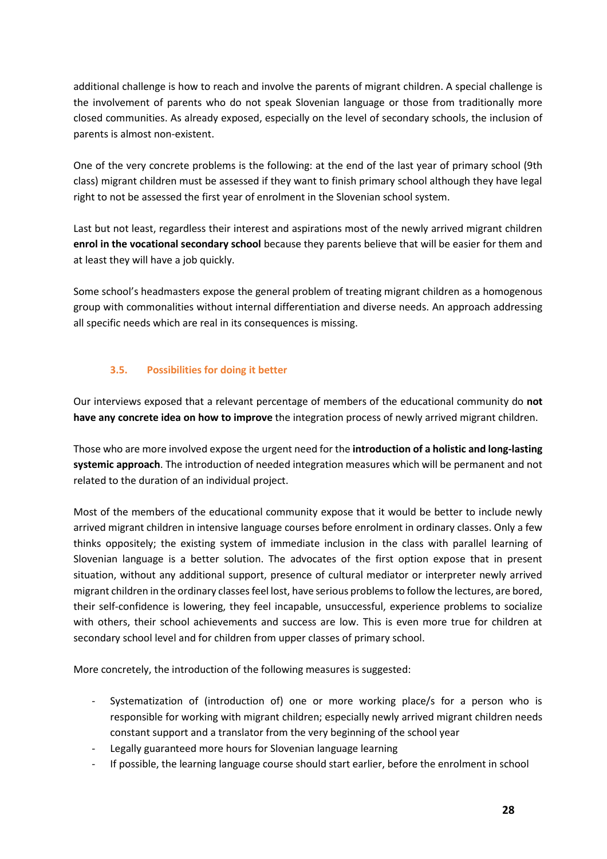additional challenge is how to reach and involve the parents of migrant children. A special challenge is the involvement of parents who do not speak Slovenian language or those from traditionally more closed communities. As already exposed, especially on the level of secondary schools, the inclusion of parents is almost non-existent.

One of the very concrete problems is the following: at the end of the last year of primary school (9th class) migrant children must be assessed if they want to finish primary school although they have legal right to not be assessed the first year of enrolment in the Slovenian school system.

Last but not least, regardless their interest and aspirations most of the newly arrived migrant children **enrol in the vocational secondary school** because they parents believe that will be easier for them and at least they will have a job quickly.

Some school's headmasters expose the general problem of treating migrant children as a homogenous group with commonalities without internal differentiation and diverse needs. An approach addressing all specific needs which are real in its consequences is missing.

#### **3.5. Possibilities for doing it better**

<span id="page-27-0"></span>Our interviews exposed that a relevant percentage of members of the educational community do **not have any concrete idea on how to improve** the integration process of newly arrived migrant children.

Those who are more involved expose the urgent need for the **introduction of a holistic and long-lasting systemic approach**. The introduction of needed integration measures which will be permanent and not related to the duration of an individual project.

Most of the members of the educational community expose that it would be better to include newly arrived migrant children in intensive language courses before enrolment in ordinary classes. Only a few thinks oppositely; the existing system of immediate inclusion in the class with parallel learning of Slovenian language is a better solution. The advocates of the first option expose that in present situation, without any additional support, presence of cultural mediator or interpreter newly arrived migrant children in the ordinary classes feel lost, have serious problems to follow the lectures, are bored, their self-confidence is lowering, they feel incapable, unsuccessful, experience problems to socialize with others, their school achievements and success are low. This is even more true for children at secondary school level and for children from upper classes of primary school.

More concretely, the introduction of the following measures is suggested:

- Systematization of (introduction of) one or more working place/s for a person who is responsible for working with migrant children; especially newly arrived migrant children needs constant support and a translator from the very beginning of the school year
- Legally guaranteed more hours for Slovenian language learning
- If possible, the learning language course should start earlier, before the enrolment in school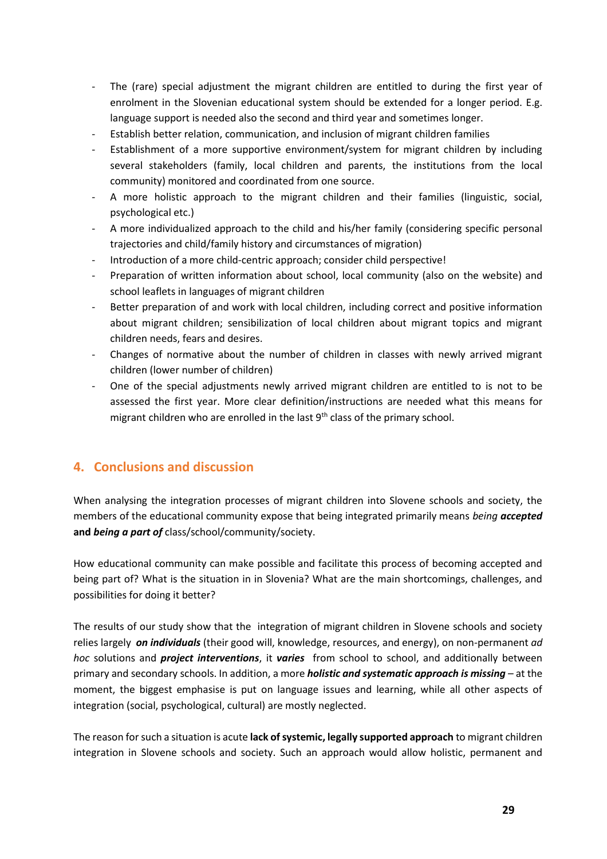- The (rare) special adjustment the migrant children are entitled to during the first year of enrolment in the Slovenian educational system should be extended for a longer period. E.g. language support is needed also the second and third year and sometimes longer.
- Establish better relation, communication, and inclusion of migrant children families
- Establishment of a more supportive environment/system for migrant children by including several stakeholders (family, local children and parents, the institutions from the local community) monitored and coordinated from one source.
- A more holistic approach to the migrant children and their families (linguistic, social, psychological etc.)
- A more individualized approach to the child and his/her family (considering specific personal trajectories and child/family history and circumstances of migration)
- Introduction of a more child-centric approach; consider child perspective!
- Preparation of written information about school, local community (also on the website) and school leaflets in languages of migrant children
- Better preparation of and work with local children, including correct and positive information about migrant children; sensibilization of local children about migrant topics and migrant children needs, fears and desires.
- Changes of normative about the number of children in classes with newly arrived migrant children (lower number of children)
- One of the special adjustments newly arrived migrant children are entitled to is not to be assessed the first year. More clear definition/instructions are needed what this means for migrant children who are enrolled in the last  $9<sup>th</sup>$  class of the primary school.

#### <span id="page-28-0"></span>**4. Conclusions and discussion**

When analysing the integration processes of migrant children into Slovene schools and society, the members of the educational community expose that being integrated primarily means *being accepted*  **and** *being a part of* class/school/community/society.

How educational community can make possible and facilitate this process of becoming accepted and being part of? What is the situation in in Slovenia? What are the main shortcomings, challenges, and possibilities for doing it better?

The results of our study show that the integration of migrant children in Slovene schools and society relies largely *on individuals* (their good will, knowledge, resources, and energy), on non-permanent *ad hoc* solutions and *project interventions*, it *varies* from school to school, and additionally between primary and secondary schools. In addition, a more *holistic and systematic approach is missing* – at the moment, the biggest emphasise is put on language issues and learning, while all other aspects of integration (social, psychological, cultural) are mostly neglected.

The reason for such a situation is acute **lack of systemic, legally supported approach** to migrant children integration in Slovene schools and society. Such an approach would allow holistic, permanent and